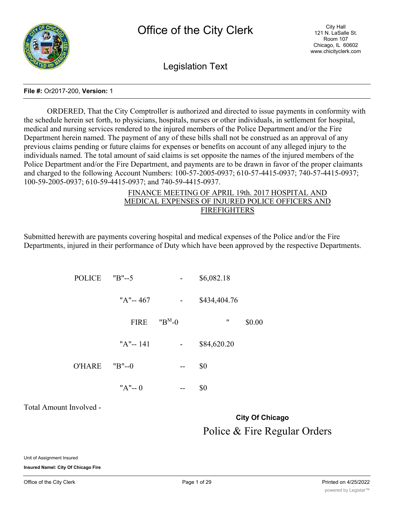

Legislation Text

### **File #:** Or2017-200, **Version:** 1

ORDERED, That the City Comptroller is authorized and directed to issue payments in conformity with the schedule herein set forth, to physicians, hospitals, nurses or other individuals, in settlement for hospital, medical and nursing services rendered to the injured members of the Police Department and/or the Fire Department herein named. The payment of any of these bills shall not be construed as an approval of any previous claims pending or future claims for expenses or benefits on account of any alleged injury to the individuals named. The total amount of said claims is set opposite the names of the injured members of the Police Department and/or the Fire Department, and payments are to be drawn in favor of the proper claimants and charged to the following Account Numbers: 100-57-2005-0937; 610-57-4415-0937; 740-57-4415-0937; 100-59-2005-0937; 610-59-4415-0937; and 740-59-4415-0937.

### FINANCE MEETING OF APRIL 19th. 2017 HOSPITAL AND MEDICAL EXPENSES OF INJURED POLICE OFFICERS AND FIREFIGHTERS

Submitted herewith are payments covering hospital and medical expenses of the Police and/or the Fire Departments, injured in their performance of Duty which have been approved by the respective Departments.

| POLICE | $"B" - 5"$ | \$6,082.18 |
|--------|------------|------------|
|--------|------------|------------|

| "A"-- 467 | \$434,404.76 |
|-----------|--------------|
|           |              |

FIRE  $"B^M-0$  " \$0.00

| "A"-- 141 | \$84,620.20 |
|-----------|-------------|
|           |             |

 $O'HARE$   $"B"=-0$  -- \$0

 $"A"-- 0$  -- \$0

Total Amount Involved -

# **City Of Chicago** Police & Fire Regular Orders

Unit of Assignment Insured

**Insured Namel: City Of Chicago Fire**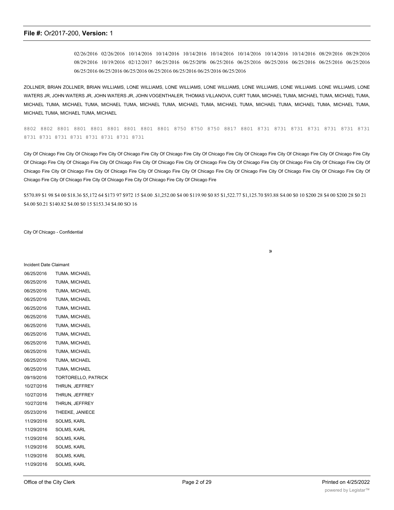02/26/2016 02/26/2016 10/14/2016 10/14/2016 10/14/2016 10/14/2016 10/14/2016 10/14/2016 10/14/2016 08/29/2016 08/29/2016 08/29/2016 10/19/2016 02/12/2017 06/25/2016 06/25/20'l6 06/25/2016 06/25/2016 06/25/2016 06/25/2016 06/25/2016 06/25/2016 06/25/2016 06/25/2016 06/25/2016 06/25/2016 06/25/2016 06/25/2016 06/25/2016

ZOLLNER, BRIAN ZOLLNER, BRIAN WILLIAMS, LONE WILLIAMS, LONE WILLIAMS, LONE WILLIAMS, LONE WILLIAMS, LONE WILLIAMS. LONE WILLIAMS, LONE WATERS JR, JOHN WATERS JR, JOHN WATERS JR, JOHN VOGENTHALER, THOMAS VILLANOVA, CURT TUMA, MICHAEL TUMA, MICHAEL TUMA, MICHAEL TUMA, MICHAEL TUMA, MICHAEL TUMA, MICHAEL TUMA, MICHAEL TUMA, MICHAEL TUMA, MICHAEL TUMA, MICHAEL TUMA, MICHAEL TUMA, MICHAEL TUMA, MICHAEL TUMA, MICHAEL TUMA, MICHAEL

8802 8802 8801 8801 8801 8801 8801 8801 8801 8750 8750 8750 8817 8801 8731 8731 8731 8731 8731 8731 8731 8731 8731 8731 8731 8731 8731 8731 8731

City Of Chicago Fire City Of Chicago Fire City Of Chicago Fire City Of Chicago Fire City Of Chicago Fire City Of Chicago Fire City Of Chicago Fire City Of Chicago Fire City Of Chicago Fire City Of Chicago Fire City Of Chicago Fire City Of Chicago Fire City Of Chicago Fire City Of Chicago Fire City Of Chicago Fire City Of Chicago Fire City Of Chicago Fire City Of Chicago Fire City Of Chicago Fire City Of Chicago Fire City Of Chicago Fire City Of Chicago Fire City Of Chicago Fire City Of Chicago Fire City Of Chicago Fire City Of Chicago Fire City Of Chicago Fire City Of Chicago Fire City Of Chicago Fire

\$570.89 \$1 98 \$4 00 \$18.36 \$5,172 64 \$173 97 \$972 15 \$4.00 .\$1,252.00 \$4 00 \$119.90 \$0 85 \$1,522.77 \$1,125.70 \$93.88 S4.00 \$0 10 \$200 28 \$4 00 \$200 28 \$0 21 \$4.00 \$0.21 \$140.82 \$4.00 \$0 15 \$153.34 \$4.00 SO 16

»

City Of Chicago - Confidential

| <b>Incident Date Claimant</b> |                            |
|-------------------------------|----------------------------|
| 06/25/2016                    | TUMA, MICHAEL              |
| 06/25/2016                    | TUMA, MICHAEL              |
| 06/25/2016                    | TUMA, MICHAEL              |
| 06/25/2016                    | TUMA, MICHAEL              |
| 06/25/2016                    | TUMA, MICHAEL              |
| 06/25/2016                    | TUMA, MICHAEL              |
| 06/25/2016                    | TUMA, MICHAEL              |
| 06/25/2016                    | TUMA, MICHAEL              |
| 06/25/2016                    | TUMA, MICHAEL              |
| 06/25/2016                    | TUMA, MICHAEL              |
| 06/25/2016                    | TUMA, MICHAEL              |
| 06/25/2016                    | TUMA, MICHAEL              |
| 09/19/2016                    | <b>TORTORELLO, PATRICK</b> |
| 10/27/2016                    | THRUN, JEFFREY             |
| 10/27/2016                    | THRUN, JEFFREY             |
| 10/27/2016                    | THRUN, JEFFREY             |
| 05/23/2016                    | THEEKE, JANIECE            |
| 11/29/2016                    | <b>SOLMS, KARL</b>         |
| 11/29/2016                    | SOLMS, KARL                |
| 11/29/2016                    | SOLMS, KARL                |
| 11/29/2016                    | <b>SOLMS, KARL</b>         |
| 11/29/2016                    | <b>SOLMS, KARL</b>         |
| 11/29/2016                    | <b>SOLMS, KARL</b>         |

02/06/2017 SIMON, RONALD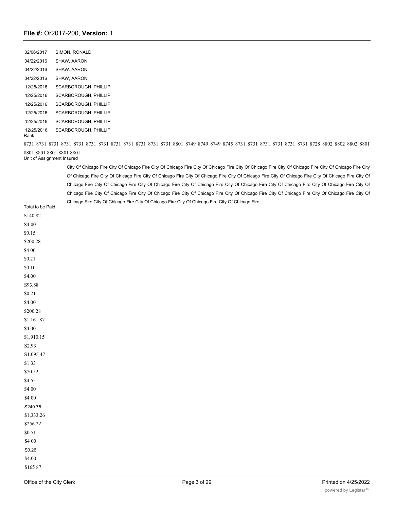02/06/2017 SIMON, RONALD 04/22/2016 SHAW, AARON 04/22/2016 SHAW. AARON 04/22/2016 SHAW, AARON 12/25/2016 SCARBOROUGH, PHILLIP 12/25/2016 SCARBOROUGH, PHILLIP 12/25/2016 SCARBOROUGH, PHILLIP 12/25/2016 SCARBOROUGH, PHILLIP 12/25/2016 SCARBOROUGH, PHILLIP 12/25/2016 SCARBOROUGH, PHILLIP Rank

8731 8731 8731 8731 8731 8731 8731 8731 8731 8731 8731 8731 8801 8749 8749 8749 8745 8731 8731 8731 8731 8731 8731 8728 8802 8802 8802 8801 8801 8801 8801 8801 8801

Unit of Assignment Insured

City Of Chicago Fire City Of Chicago Fire City Of Chicago Fire City Of Chicago Fire City Of Chicago Fire City Of Chicago Fire City Of Chicago Fire City Of Chicago Fire City Of Chicago Fire City Of Chicago Fire City Of Chicago Fire City Of Chicago Fire City Of Chicago Fire City Of Chicago Fire City Of Chicago Fire City Of Chicago Fire City Of Chicago Fire City Of Chicago Fire City Of Chicago Fire City Of Chicago Fire City Of Chicago Fire City Of Chicago Fire City Of Chicago Fire City Of Chicago Fire City Of Chicago Fire City Of Chicago Fire City Of Chicago Fire City Of Chicago Fire City Of Chicago Fire City Of Chicago Fire City Of Chicago Fire City Of Chicago Fire City Of Chicago Fire

Total to be Paid S140 82 S4.00 \$0.15 \$200.28 \$4 00 \$0.21 \$0 10 \$4.00 S93.88 \$0.21 \$4.00 \$200.28 \$1,161 87 \$4.00 \$1,910.15 S2.93 S1.095 47 \$1.33 \$70.52 \$4 55 \$4 00 \$4 00 S240 75 \$1,333.26 \$256.22 \$0.51 \$4 00 S0.26 \$4.00 \$165 87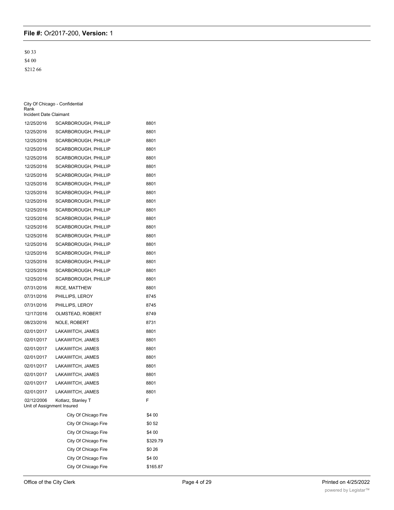\$0 33 \$4 00

\$212 66

| Rank<br>Incident Date Claimant           | City Of Chicago - Confidential |          |
|------------------------------------------|--------------------------------|----------|
| 12/25/2016                               | SCARBOROUGH, PHILLIP           | 8801     |
| 12/25/2016                               | SCARBOROUGH, PHILLIP           | 8801     |
| 12/25/2016                               | SCARBOROUGH, PHILLIP           | 8801     |
| 12/25/2016                               | SCARBOROUGH, PHILLIP           | 8801     |
| 12/25/2016                               | <b>SCARBOROUGH, PHILLIP</b>    | 8801     |
| 12/25/2016                               | SCARBOROUGH, PHILLIP           | 8801     |
| 12/25/2016                               | SCARBOROUGH, PHILLIP           | 8801     |
| 12/25/2016                               | SCARBOROUGH, PHILLIP           | 8801     |
| 12/25/2016                               | SCARBOROUGH, PHILLIP           | 8801     |
| 12/25/2016                               | SCARBOROUGH, PHILLIP           | 8801     |
| 12/25/2016                               | SCARBOROUGH, PHILLIP           | 8801     |
| 12/25/2016                               | SCARBOROUGH, PHILLIP           | 8801     |
| 12/25/2016                               | <b>SCARBOROUGH, PHILLIP</b>    | 8801     |
| 12/25/2016                               | SCARBOROUGH, PHILLIP           | 8801     |
| 12/25/2016                               | SCARBOROUGH, PHILLIP           | 8801     |
| 12/25/2016                               | SCARBOROUGH, PHILLIP           | 8801     |
| 12/25/2016                               | SCARBOROUGH, PHILLIP           | 8801     |
| 12/25/2016                               | SCARBOROUGH, PHILLIP           | 8801     |
| 12/25/2016                               | SCARBOROUGH, PHILLIP           | 8801     |
| 07/31/2016                               | RICE, MATTHEW                  | 8801     |
| 07/31/2016                               | PHILLIPS, LEROY                | 8745     |
| 07/31/2016                               | PHILLIPS, LEROY                | 8745     |
| 12/17/2016                               | OLMSTEAD, ROBERT               | 8749     |
| 08/23/2016                               | <b>NOLE, ROBERT</b>            | 8731     |
| 02/01/2017                               | LAKAWITCH, JAMES               | 8801     |
| 02/01/2017                               | LAKAWITCH, JAMES               | 8801     |
| 02/01/2017                               | LAKAWITCH, JAMES               | 8801     |
| 02/01/2017                               | LAKAWITCH, JAMES               | 8801     |
| 02/01/2017                               | LAKAWITCH, JAMES               | 8801     |
| 02/01/2017                               | LAKAWITCH, JAMES               | 8801     |
| 02/01/2017                               | LAKAWITCH, JAMES               | 8801     |
| 02/01/2017                               | LAKAWITCH, JAMES               | 8801     |
| 02/12/2006<br>Unit of Assignment Insured | Kotlarz, Stanley T             | F        |
|                                          | City Of Chicago Fire           | \$4 00   |
|                                          | City Of Chicago Fire           | \$052    |
|                                          | City Of Chicago Fire           | \$4 00   |
|                                          | City Of Chicago Fire           | \$329.79 |
|                                          | City Of Chicago Fire           | \$0 26   |
|                                          | City Of Chicago Fire           | \$4 00   |
|                                          | City Of Chicago Fire           | \$165.87 |

City Of City Of City Of City Of City Of City Of City Of City Of City Of City Of City Of City Of City Of City O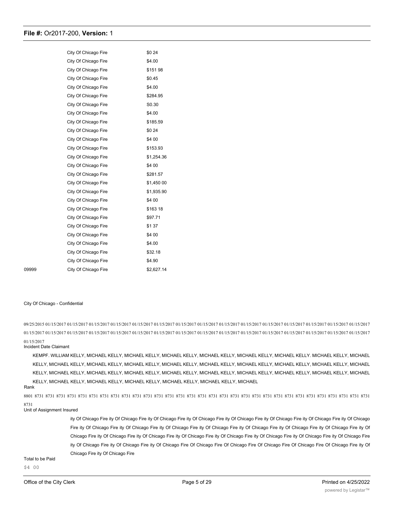|       | City Of Chicago Fire | \$0 24     |
|-------|----------------------|------------|
|       | City Of Chicago Fire | \$4.00     |
|       | City Of Chicago Fire | \$151 98   |
|       | City Of Chicago Fire | \$0.45     |
|       | City Of Chicago Fire | \$4.00     |
|       | City Of Chicago Fire | \$284.95   |
|       | City Of Chicago Fire | S0.30      |
|       | City Of Chicago Fire | \$4.00     |
|       | City Of Chicago Fire | \$185.59   |
|       | City Of Chicago Fire | \$0 24     |
|       | City Of Chicago Fire | \$4 00     |
|       | City Of Chicago Fire | \$153.93   |
|       | City Of Chicago Fire | \$1,254.36 |
|       | City Of Chicago Fire | \$4 00     |
|       | City Of Chicago Fire | \$281.57   |
|       | City Of Chicago Fire | \$1,450 00 |
|       | City Of Chicago Fire | \$1,935.90 |
|       | City Of Chicago Fire | \$4 00     |
|       | City Of Chicago Fire | \$163 18   |
|       | City Of Chicago Fire | \$97.71    |
|       | City Of Chicago Fire | \$1 37     |
|       | City Of Chicago Fire | \$4 00     |
|       | City Of Chicago Fire | \$4.00     |
|       | City Of Chicago Fire | \$32.18    |
|       | City Of Chicago Fire | \$4.90     |
| 09999 | City Of Chicago Fire | \$2,627.14 |

#### City Of Chicago - Confidential

09/25/2015 01/15/2017 01/15/2017 01/15/2017 01/15/2017 01/15/2017 01/15/2017 01/15/2017 01/15/2017 01/15/2017 01/15/2017 01/15/2017 01/15/2017 01/15/2017 01/15/2017 01/15/2017 01/15/2017 01/15/2017 01/15/2017 01/15/2017 01/15/2017 01/15/2017 01/15/2017 01/15/2017 01/15/2017 01/15/2017 01/15/2017 01/15/2017 01/15/2017 01/15/2017 01/15/2017 01/15/2017 01/15/2017

#### Incident Date Claimant

KEMPF. WILLIAM KELLY, MICHAEL KELLY, MICHAEL KELLY, MICHAEL KELLY, MICHAEL KELLY, MICHAEL KELLY, MICHAEL KELLY. MICHAEL KELLY, MICHAEL KELLY, MICHAEL KELLY, MICHAEL KELLY, MICHAEL KELLY, MICHAEL KELLY, MICHAEL KELLY, MICHAEL KELLY, MICHAEL KELLY, MICHAEL KELLY, MICHAEL KELLY, MICHAEL KELLY, MICHAEL KELLY, MICHAEL KELLY, MICHAEL KELLY, MICHAEL KELLY, MICHAEL KELLY, MICHAEL KELLY, MICHAEL KELLY, MICHAEL KELLY, MICHAEL KELLY, MICHAEL KELLY, MICHAEL KELLY, MICHAEL KELLY, MICHAEL KELLY, MICHAEL

#### Rank

8801 8731 8731 8731 8731 8731 8731 8731 8731 8731 8731 8731 8731 8731 8731 8731 8731 8731 8731 8731 8731 8731 8731 8731 8731 8731 8731 8731 8731 8731 8731 8731 8731

#### Unit of Assignment Insured

ity Of Chicago Fire ity Of Chicago Fire ity Of Chicago Fire ity Of Chicago Fire ity Of Chicago Fire ity Of Chicago Fire ity Of Chicago Fire ity Of Chicago Fire ity Of Chicago Fire ity Of Chicago Fire ity Of Chicago Fire ity Of Chicago Fire ity Of Chicago Fire ity Of Chicago Fire ity Of Chicago Fire ity Of Chicago Fire ity Of Chicago Fire ity Of Chicago Fire ity Of Chicago Fire ity Of Chicago Fire ity Of Chicago Fire ity Of Chicago Fire ity Of Chicago Fire ity Of Chicago Fire ity Of Chicago Fire Of Chicago Fire Of Chicago Fire Of Chicago Fire Of Chicago Fire Of Chicago Fire ity Of Chicago Fire ity Of Chicago Fire

## Total to be Paid

\$4 00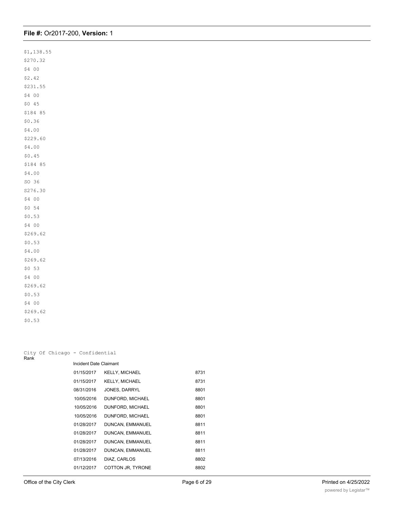| \$1,138.55 |
|------------|
| \$270.32   |
| \$4 00     |
| \$2.42     |
| \$231.55   |
| \$4 00     |
| \$0 45     |
| \$184 85   |
| \$0.36     |
| \$4.00     |
| \$229.60   |
| \$4.00     |
| \$0.45     |
| \$184 85   |
| \$4.00     |
| SO 36      |
| S276.30    |
| \$4 00     |
| \$0 54     |
| \$0.53     |
| \$4 00     |
| \$269.62   |
| \$0.53     |
| \$4.00     |
| \$269.62   |
| \$0 53     |
| \$4 00     |
| \$269.62   |
| \$0.53     |
| \$4 00     |
| \$269.62   |
| \$0.53     |
|            |

| Rank |  | City Of Chicago - Confidential |                       |      |
|------|--|--------------------------------|-----------------------|------|
|      |  | Incident Date Claimant         |                       |      |
|      |  | 01/15/2017                     | <b>KELLY, MICHAEL</b> | 8731 |
|      |  | 01/15/2017                     | <b>KELLY, MICHAEL</b> | 8731 |
|      |  | 08/31/2016                     | JONES, DARRYL         | 8801 |
|      |  | 10/05/2016                     | DUNFORD, MICHAEL      | 8801 |
|      |  | 10/05/2016                     | DUNFORD, MICHAEL      | 8801 |
|      |  | 10/05/2016                     | DUNFORD, MICHAEL      | 8801 |
|      |  | 01/28/2017                     | DUNCAN, EMMANUEL      | 8811 |
|      |  | 01/28/2017                     | DUNCAN, EMMANUEL      | 8811 |
|      |  | 01/28/2017                     | DUNCAN, EMMANUEL      | 8811 |
|      |  | 01/28/2017                     | DUNCAN, EMMANUEL      | 8811 |
|      |  | 07/13/2016                     | DIAZ, CARLOS          | 8802 |
|      |  | 01/12/2017                     | COTTON JR, TYRONE     | 8802 |
|      |  |                                |                       |      |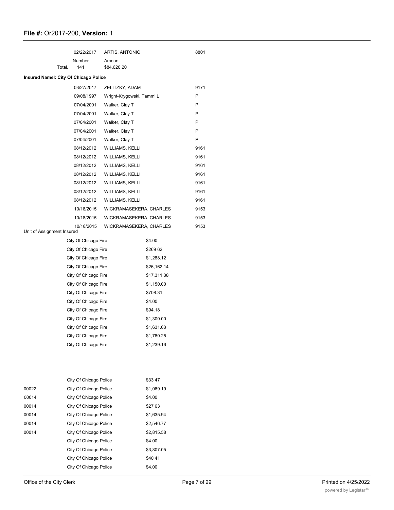|                                       |        | 02/22/2017                                   | ARTIS, ANTONIO            |                          | 8801 |
|---------------------------------------|--------|----------------------------------------------|---------------------------|--------------------------|------|
|                                       |        | Number                                       | Amount                    |                          |      |
|                                       | Total. | 141                                          | \$84,620 20               |                          |      |
| Insured Namel: City Of Chicago Police |        |                                              |                           |                          |      |
|                                       |        | 03/27/2017                                   | ZELITZKY, ADAM            |                          | 9171 |
|                                       |        | 09/08/1997                                   | Wright-Krygowski, Tammi L |                          | P    |
|                                       |        | 07/04/2001                                   | Walker, Clay T            |                          | P    |
|                                       |        | 07/04/2001                                   | Walker, Clay T            |                          | P    |
|                                       |        | 07/04/2001                                   | Walker, Clay T            |                          | P    |
|                                       |        | 07/04/2001                                   | Walker, Clay T            |                          | P    |
|                                       |        | 07/04/2001                                   | Walker, Clay T            |                          | P    |
|                                       |        | 08/12/2012                                   | <b>WILLIAMS, KELLI</b>    |                          | 9161 |
|                                       |        | 08/12/2012                                   | WILLIAMS, KELLI           |                          | 9161 |
|                                       |        | 08/12/2012                                   | WILLIAMS, KELLI           |                          | 9161 |
|                                       |        | 08/12/2012                                   | <b>WILLIAMS, KELLI</b>    |                          | 9161 |
|                                       |        | 08/12/2012                                   | WILLIAMS, KELLI           |                          | 9161 |
|                                       |        | 08/12/2012                                   | WILLIAMS, KELLI           |                          | 9161 |
|                                       |        | 08/12/2012                                   | WILLIAMS, KELLI           |                          | 9161 |
|                                       |        | 10/18/2015                                   | WICKRAMASEKERA, CHARLES   |                          | 9153 |
|                                       |        | 10/18/2015                                   | WICKRAMASEKERA, CHARLES   |                          | 9153 |
|                                       |        | 10/18/2015                                   | WICKRAMASEKERA, CHARLES   |                          | 9153 |
| Unit of Assignment Insured            |        |                                              |                           |                          |      |
|                                       |        | City Of Chicago Fire                         |                           | \$4.00                   |      |
|                                       |        | City Of Chicago Fire                         |                           | \$269 62                 |      |
|                                       |        | City Of Chicago Fire                         |                           | \$1,288.12               |      |
|                                       |        | City Of Chicago Fire                         |                           | \$26,162.14              |      |
|                                       |        | City Of Chicago Fire                         |                           | \$17,311 38              |      |
|                                       |        | City Of Chicago Fire                         |                           | \$1,150.00               |      |
|                                       |        | City Of Chicago Fire                         |                           | \$708.31                 |      |
|                                       |        | City Of Chicago Fire                         |                           | \$4.00                   |      |
|                                       |        | City Of Chicago Fire                         |                           | \$94.18                  |      |
|                                       |        | City Of Chicago Fire<br>City Of Chicago Fire |                           | \$1,300.00<br>\$1,631.63 |      |
|                                       |        |                                              |                           |                          |      |
|                                       |        | City Of Chicago Fire                         |                           | \$1,760.25               |      |
|                                       |        | City Of Chicago Fire                         |                           | \$1,239.16               |      |
|                                       |        |                                              |                           |                          |      |
|                                       |        |                                              |                           |                          |      |
|                                       |        | City Of Chicago Police                       |                           | \$3347                   |      |
| 00022                                 |        | City Of Chicago Police                       |                           | \$1,069.19               |      |
| 00014                                 |        | City Of Chicago Police                       |                           | \$4.00                   |      |
| 00014                                 |        | City Of Chicago Police                       |                           | \$27 63                  |      |
| 00014                                 |        | City Of Chicago Police                       |                           | \$1,635.94               |      |
| 00014                                 |        | City Of Chicago Police                       |                           | \$2,546.77               |      |
| 00014                                 |        | City Of Chicago Police                       |                           | \$2,815.58               |      |
|                                       |        | City Of Chicago Police                       |                           | \$4.00                   |      |
|                                       |        | City Of Chicago Police                       |                           | \$3,807.05               |      |
|                                       |        | City Of Chicago Police                       |                           | \$4041                   |      |
|                                       |        | City Of Chicago Police                       |                           | \$4.00                   |      |
|                                       |        |                                              |                           |                          |      |

City Of Chicago Police \$243 99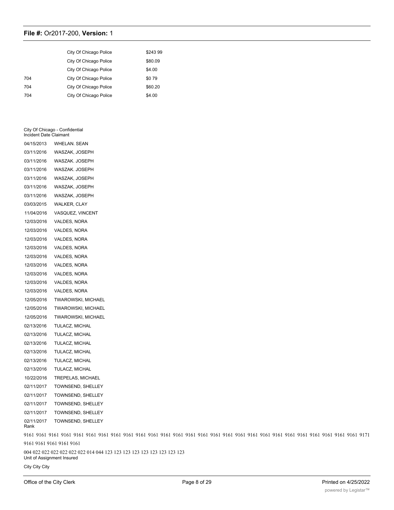|     | City Of Chicago Police | \$243 99 |
|-----|------------------------|----------|
|     | City Of Chicago Police | \$80.09  |
|     | City Of Chicago Police | \$4.00   |
| 704 | City Of Chicago Police | \$079    |
| 704 | City Of Chicago Police | \$60.20  |
| 704 | City Of Chicago Police | \$4.00   |

#### City Of Chicago - Confidential Incident Date Claimant

| 04/15/2013               | <b>WHELAN, SEAN</b>                                                     |
|--------------------------|-------------------------------------------------------------------------|
| 03/11/2016               | WASZAK, JOSEPH                                                          |
| 03/11/2016               | WASZAK. JOSEPH                                                          |
| 03/11/2016               | WASZAK. JOSEPH                                                          |
| 03/11/2016               | WASZAK, JOSEPH                                                          |
| 03/11/2016               | WASZAK, JOSEPH                                                          |
| 03/11/2016               | WASZAK, JOSEPH                                                          |
| 03/03/2015               | <b>WALKER, CLAY</b>                                                     |
| 11/04/2016               | VASQUEZ, VINCENT                                                        |
| 12/03/2016               | VALDES, NORA                                                            |
| 12/03/2016               | VALDES, NORA                                                            |
| 12/03/2016               | VALDES, NORA                                                            |
| 12/03/2016               | VALDES, NORA                                                            |
| 12/03/2016               | VALDES, NORA                                                            |
| 12/03/2016               | VALDES, NORA                                                            |
| 12/03/2016               | VALDES, NORA                                                            |
| 12/03/2016               | VALDES, NORA                                                            |
| 12/03/2016               | VALDES, NORA                                                            |
| 12/05/2016               | <b>TWAROWSKI, MICHAEL</b>                                               |
| 12/05/2016               | <b>TWAROWSKI, MICHAEL</b>                                               |
| 12/05/2016               | <b>TWAROWSKI, MICHAEL</b>                                               |
| 02/13/2016               | TULACZ, MICHAL                                                          |
| 02/13/2016               | TULACZ, MICHAL                                                          |
| 02/13/2016               | TULACZ, MICHAL                                                          |
| 02/13/2016               | TULACZ, MICHAL                                                          |
| 02/13/2016               | TULACZ, MICHAL                                                          |
| 02/13/2016               | TULACZ, MICHAL                                                          |
| 10/22/2016               | TREPELAS, MICHAEL                                                       |
| 02/11/2017               | TOWNSEND, SHELLEY                                                       |
| 02/11/2017               | TOWNSEND, SHELLEY                                                       |
| 02/11/2017               | TOWNSEND, SHELLEY                                                       |
| 02/11/2017               | <b>TOWNSEND, SHELLEY</b>                                                |
| 02/11/2017<br>Rank       | TOWNSEND, SHELLEY                                                       |
|                          |                                                                         |
| 9161 9161 9161 9161 9161 |                                                                         |
|                          | 004 022 022 022 022 022 022 014 044 123 123 123 123 123 123 123 123 123 |

Unit of Assignment Insured

City City City

 $C$  City Of City Of City Of City Of Chicago Po City Of Chicago Po City Of Chicago Po City Of Chicago City Of Chicago Po City Of Chicago City Of Chicago City Of Chicago City Of Chicago City Of Chicago City Of Chicago City

9161 9161 9161 9161 9161 9161 9161 9161 9161 9161 9161 9161 9161 9161 9161 9161 9161 9161 9161 9161 9161 9161 9161 9161 9161 9161 9161 9171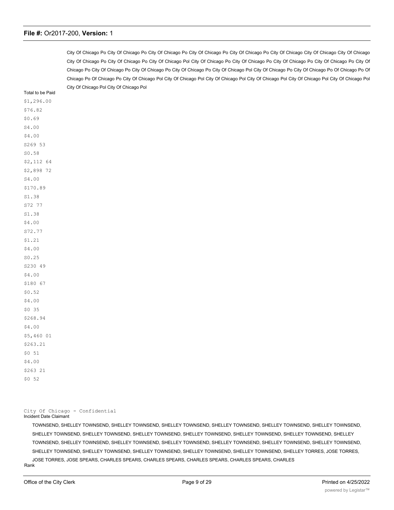City Of Chicago Po City Of Chicago Po City Of Chicago Po City Of Chicago Po City Of Chicago Po City Of Chicago City Of Chicago City Of Chicago City Of Chicago Po City Of Chicago Po City Of Chicago Pol City Of Chicago Po City Of Chicago Po City Of Chicago Po City Of Chicago Po City Of Chicago Po City Of Chicago Po City Of Chicago Po City Of Chicago Po City Of Chicago Pol City Of Chicago Po City Of Chicago Po Of Chicago Po Of Chicago Po Of Chicago Po City Of Chicago Pol City Of Chicago Pol City Of Chicago Pol City Of Chicago Pol City Of Chicago Pol City Of Chicago Pol City Of Chicago Pol City Of Chicago Pol

Total to be Paid \$1,296.00 \$76.82 \$0.69 S4.00 \$4.00 S269 53 S0.58 \$2,112 64 \$2,898 72 S4.00 \$170.89 S1.38 S72 77 S1.38 \$4.00 S72.77 \$1.21 \$4.00 S0.25 S230 49 \$4.00 \$180 67 \$0.52 \$4.00 \$0 35 \$268.94 \$4.00 \$5,460 01 \$263.21 \$0 51 \$4.00 \$263 21 \$0 52

City Of Chicago - Confidential

#### Incident Date Claimant

TOWNSEND, SHELLEY TOWNSEND, SHELLEY TOWNSEND, SHELLEY TOWNSEND, SHELLEY TOWNSEND, SHELLEY TOWNSEND, SHELLEY TOWNSEND, SHELLEY TOWNSEND, SHELLEY TOWNSEND, SHELLEY TOWNSEND, SHELLEY TOWNSEND, SHELLEY TOWNSEND, SHELLEY TOWNSEND, SHELLEY TOWNSEND, SHELLEY TOWNSEND, SHELLEY TOWNSEND, SHELLEY TOWNSEND, SHELLEY TOWNSEND, SHELLEY TOWNSEND, SHELLEY TOWNSEND, SHELLEY TOWNSEND, SHELLEY TOWNSEND, SHELLEY TOWNSEND, SHELLEY TOWNSEND, SHELLEY TOWNSEND, SHELLEY TORRES, JOSE TORRES, JOSE TORRES, JOSE SPEARS, CHARLES SPEARS, CHARLES SPEARS, CHARLES SPEARS, CHARLES SPEARS, CHARLES Rank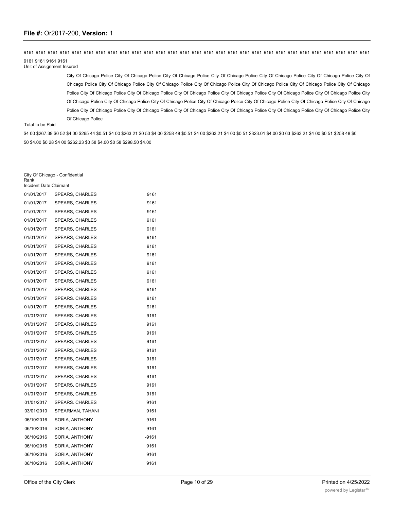9161 9161 9161 9161 9161 9161 9161 9161 9161 9161 9161 9161 9161 9161 9161 9161 9161 9161 9161 9161 9161 9161 9161 9161 9161 9161 9161 9161 9161 9161 9161 9161 9161

Unit of Assignment Insured

City Of Chicago Police City Of Chicago Police City Of Chicago Police City Of Chicago Police City Of Chicago Police City Of Chicago Police City Of Chicago Police City Of Chicago Police City Of Chicago Police City Of Chicago Police City Of Chicago Police City Of Chicago Police City Of Chicago Police City Of Chicago Police City Of Chicago Police City Of Chicago Police City Of Chicago Police City Of Chicago Police City Of Chicago Police City Of Chicago Police City Of Chicago Police City Of Chicago Police City Of Chicago Police City Of Chicago Police City Of Chicago Police City Of Chicago Police City Of Chicago Police City Of Chicago Police City Of Chicago Police City Of Chicago Police City Of Chicago Police City Of Chicago Police City Of Chicago Police

#### Total to be Paid

\$4 00 \$267.39 \$0 52 \$4 00 \$265 44 \$0.51 \$4 00 \$263 21 \$0 50 \$4 00 \$268 48 \$0.51 \$4 00 \$263.21 \$4 00 \$0 51 \$323.01 \$4.00 \$0 63 \$263 21 \$4 00 \$0 51 \$258 48 \$0 50 \$4.00 \$0 28 \$4 00 \$262.23 \$0 58 \$4.00 \$0 58 \$298.50 \$4.00

| City Of Chicago - Confidential<br>Rank<br>Incident Date Claimant |                        |       |  |  |
|------------------------------------------------------------------|------------------------|-------|--|--|
| 01/01/2017                                                       | <b>SPEARS, CHARLES</b> | 9161  |  |  |
| 01/01/2017                                                       | <b>SPEARS, CHARLES</b> | 9161  |  |  |
| 01/01/2017                                                       | <b>SPEARS, CHARLES</b> | 9161  |  |  |
| 01/01/2017                                                       | <b>SPEARS, CHARLES</b> | 9161  |  |  |
| 01/01/2017                                                       | <b>SPEARS, CHARLES</b> | 9161  |  |  |
| 01/01/2017                                                       | <b>SPEARS, CHARLES</b> | 9161  |  |  |
| 01/01/2017                                                       | <b>SPEARS, CHARLES</b> | 9161  |  |  |
| 01/01/2017                                                       | <b>SPEARS, CHARLES</b> | 9161  |  |  |
| 01/01/2017                                                       | <b>SPEARS, CHARLES</b> | 9161  |  |  |
| 01/01/2017                                                       | <b>SPEARS, CHARLES</b> | 9161  |  |  |
| 01/01/2017                                                       | <b>SPEARS, CHARLES</b> | 9161  |  |  |
| 01/01/2017                                                       | <b>SPEARS, CHARLES</b> | 9161  |  |  |
| 01/01/2017                                                       | <b>SPEARS, CHARLES</b> | 9161  |  |  |
| 01/01/2017                                                       | <b>SPEARS, CHARLES</b> | 9161  |  |  |
| 01/01/2017                                                       | <b>SPEARS, CHARLES</b> | 9161  |  |  |
| 01/01/2017                                                       | <b>SPEARS, CHARLES</b> | 9161  |  |  |
| 01/01/2017                                                       | <b>SPEARS, CHARLES</b> | 9161  |  |  |
| 01/01/2017                                                       | <b>SPEARS, CHARLES</b> | 9161  |  |  |
| 01/01/2017                                                       | <b>SPEARS, CHARLES</b> | 9161  |  |  |
| 01/01/2017                                                       | SPEARS, CHARLES        | 9161  |  |  |
| 01/01/2017                                                       | <b>SPEARS, CHARLES</b> | 9161  |  |  |
| 01/01/2017                                                       | <b>SPEARS, CHARLES</b> | 9161  |  |  |
| 01/01/2017                                                       | <b>SPEARS, CHARLES</b> | 9161  |  |  |
| 01/01/2017                                                       | <b>SPEARS, CHARLES</b> | 9161  |  |  |
| 01/01/2017                                                       | <b>SPEARS, CHARLES</b> | 9161  |  |  |
| 03/01/2010                                                       | SPEARMAN, TAHANI       | 9161  |  |  |
| 06/10/2016                                                       | SORIA, ANTHONY         | 9161  |  |  |
| 06/10/2016                                                       | SORIA, ANTHONY         | 9161  |  |  |
| 06/10/2016                                                       | SORIA, ANTHONY         | -9161 |  |  |
| 06/10/2016                                                       | SORIA, ANTHONY         | 9161  |  |  |
| 06/10/2016                                                       | SORIA, ANTHONY         | 9161  |  |  |
| 06/10/2016                                                       | SORIA, ANTHONY         | 9161  |  |  |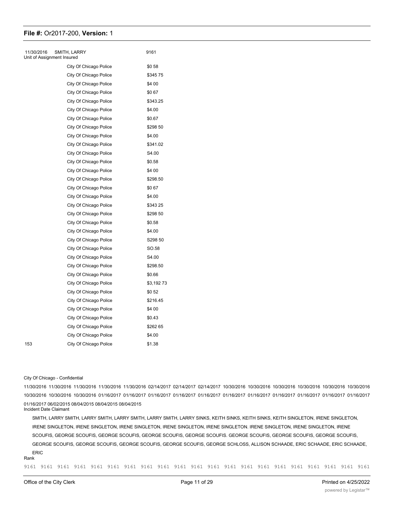| 11/30/2016<br>SMITH, LARRY<br>Unit of Assignment Insured |                        | 9161      |
|----------------------------------------------------------|------------------------|-----------|
|                                                          | City Of Chicago Police | \$058     |
|                                                          | City Of Chicago Police | \$34575   |
|                                                          | City Of Chicago Police | \$4 00    |
|                                                          | City Of Chicago Police | \$067     |
|                                                          | City Of Chicago Police | \$343.25  |
|                                                          | City Of Chicago Police | \$4.00    |
|                                                          | City Of Chicago Police | \$0.67    |
|                                                          | City Of Chicago Police | \$298 50  |
|                                                          | City Of Chicago Police | \$4.00    |
|                                                          | City Of Chicago Police | \$341.02  |
|                                                          | City Of Chicago Police | S4.00     |
|                                                          | City Of Chicago Police | \$0.58    |
|                                                          | City Of Chicago Police | \$4 00    |
|                                                          | City Of Chicago Police | \$298.50  |
|                                                          | City Of Chicago Police | \$067     |
|                                                          | City Of Chicago Police | \$4.00    |
|                                                          | City Of Chicago Police | \$343 25  |
|                                                          | City Of Chicago Police | \$298 50  |
|                                                          | City Of Chicago Police | \$0.58    |
|                                                          | City Of Chicago Police | \$4.00    |
|                                                          | City Of Chicago Police | S298 50   |
|                                                          | City Of Chicago Police | SO.58     |
|                                                          | City Of Chicago Police | S4.00     |
|                                                          | City Of Chicago Police | \$298.50  |
|                                                          | City Of Chicago Police | \$0.66    |
|                                                          | City Of Chicago Police | \$3,19273 |
|                                                          | City Of Chicago Police | \$0 52    |
|                                                          | City Of Chicago Police | \$216.45  |
|                                                          | City Of Chicago Police | \$4 00    |
|                                                          | City Of Chicago Police | \$0.43    |
|                                                          | City Of Chicago Police | \$262 65  |
|                                                          | City Of Chicago Police | \$4.00    |
| 153                                                      | City Of Chicago Police | \$1.38    |
|                                                          |                        |           |

#### City Of Chicago - Confidential

11/30/2016 11/30/2016 11/30/2016 11/30/2016 11/30/2016 02/14/2017 02/14/2017 02/14/2017 10/30/2016 10/30/2016 10/30/2016 10/30/2016 10/30/2016 10/30/2016 10/30/2016 10/30/2016 10/30/2016 01/16/2017 01/16/2017 01/16/2017 01/16/2017 01/16/2017 01/16/2017 01/16/2017 01/16/2017 01/16/2017 01/16/2017 01/16/2017 01/16/2017 06/02/2015 08/04/2015 08/04/2015 08/04/2015

Incident Date Claimant

SMITH, LARRY SMITH, LARRY SMITH, LARRY SMITH, LARRY SMITH, LARRY SINKS, KEITH SINKS, KEITH SINKS, KEITH SINGLETON, IRENE SINGLETON, IRENE SINGLETON, IRENE SINGLETON, IRENE SINGLETON, IRENE SINGLETON, IRENE SINGLETON. IRENE SINGLETON, IRENE SINGLETON, IRENE SCOUFIS, GEORGE SCOUFIS, GEORGE SCOUFIS, GEORGE SCOUFIS, GEORGE SCOUFIS. GEORGE SCOUFIS, GEORGE SCOUFIS, GEORGE SCOUFIS, GEORGE SCOUFIS, GEORGE SCOUFIS, GEORGE SCOUFIS, GEORGE SCOUFIS, GEORGE SCHLOSS, ALLISON SCHAADE, ERIC SCHAADE, ERIC SCHAADE, ERIC

#### Rank

9161 9161 9161 9161 9161 9161 9161 9161 9161 9161 9161 9161 9161 9161 9161 9161 9161 9161 9161 9161 9161

9161 9161 9161 9161 9161 9161 9161 9161 9173 9161 9161 9161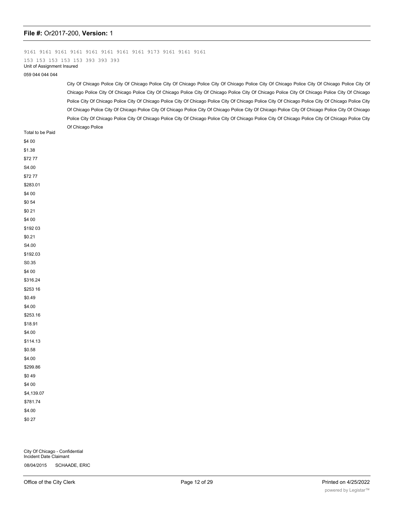9161 9161 9161 9161 9161 9161 9161 9161 9173 9161 9161 9161 153 153 153 153 153 393 393 393 Unit of Assignment Insured

059 044 044 044

City Of Chicago Police City Of Chicago Police City Of Chicago Police City Of Chicago Police City Of Chicago Police City Of Chicago Police City Of Chicago Police City Of Chicago Police City Of Chicago Police City Of Chicago Police City Of Chicago Police City Of Chicago Police City Of Chicago Police City Of Chicago Police City Of Chicago Police City Of Chicago Police City Of Chicago Police City Of Chicago Police City Of Chicago Police City Of Chicago Police City Of Chicago Police City Of Chicago Police City Of Chicago Police City Of Chicago Police City Of Chicago Police City Of Chicago Police City Of Chicago Police City Of Chicago Police City Of Chicago Police City Of Chicago Police City Of Chicago Police City Of Chicago Police City Of Chicago Police

| Total to be Paid | Or Ornougo r onoo |
|------------------|-------------------|
| \$4 00           |                   |
| \$1.38           |                   |
| \$7277           |                   |
| $\text{S4.00}$   |                   |
| \$7277           |                   |
| \$283.01         |                   |
| \$4 00           |                   |
| \$054            |                   |
| \$021            |                   |
| \$4 00           |                   |
| \$192 03         |                   |
| \$0.21           |                   |
| S4.00            |                   |
| \$192.03         |                   |
| $\mathsf{S}0.35$ |                   |
| \$4 00           |                   |
| \$316.24         |                   |
| \$253 16         |                   |
| \$0.49           |                   |
| \$4.00           |                   |
| \$253.16         |                   |
| \$18.91          |                   |
| \$4.00           |                   |
| \$114.13         |                   |
| \$0.58           |                   |
| \$4.00           |                   |
| \$299.86         |                   |
| \$049            |                   |
| \$4 00           |                   |
| \$4,139.07       |                   |
| \$781.74         |                   |
| \$4.00           |                   |
| \$0 27           |                   |

City Of Chicago - Confidential Incident Date Claimant 08/04/2015 SCHAADE, ERIC

08/04/2015 SCHAADE, ERIC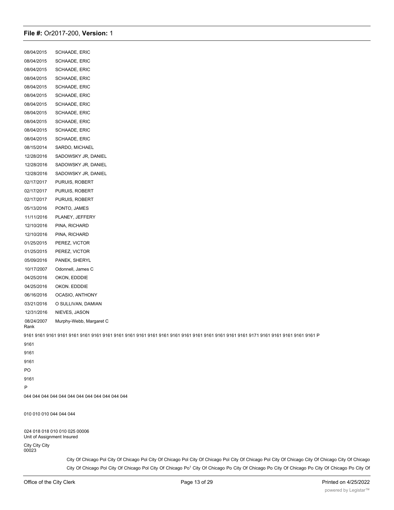| 08/04/2015                 | SCHAADE, ERIC                 |
|----------------------------|-------------------------------|
| 08/04/2015                 | SCHAADE, ERIC                 |
| 08/04/2015                 | SCHAADE, ERIC                 |
| 08/04/2015                 | SCHAADE, ERIC                 |
| 08/04/2015                 | SCHAADE, ERIC                 |
| 08/04/2015                 | SCHAADE, ERIC                 |
| 08/04/2015                 | SCHAADE, ERIC                 |
| 08/04/2015                 | SCHAADE, ERIC                 |
| 08/04/2015                 | SCHAADE, ERIC                 |
| 08/04/2015                 | SCHAADE, ERIC                 |
| 08/04/2015                 | SCHAADE, ERIC                 |
| 08/15/2014                 | SARDO, MICHAEL                |
| 12/28/2016                 | SADOWSKY JR, DANIEL           |
| 12/28/2016                 | SADOWSKY JR, DANIEL           |
| 12/28/2016                 | SADOWSKY JR, DANIEL           |
| 02/17/2017                 | PURUIS, ROBERT                |
| 02/17/2017                 | PURUIS, ROBERT                |
| 02/17/2017                 | PURUIS, ROBERT                |
| 05/13/2016                 | PONTO, JAMES                  |
| 11/11/2016                 | PLANEY, JEFFERY               |
| 12/10/2016                 | PINA, RICHARD                 |
| 12/10/2016                 | PINA, RICHARD                 |
| 01/25/2015                 | PEREZ, VICTOR                 |
| 01/25/2015                 | PEREZ, VICTOR                 |
| 05/09/2016                 | PANEK, SHERYL                 |
| 10/17/2007                 | Odonnell, James C             |
| 04/25/2016                 | OKON, EDDDIE                  |
| 04/25/2016                 | OKON. EDDDIE                  |
| 06/16/2016                 | OCASIO, ANTHONY               |
| 03/21/2016                 | O SULLIVAN, DAMIAN            |
| 12/31/2016                 | NIEVES, JASON                 |
| 08/24/2007<br>Rank         | Murphy-Webb, Margaret C       |
|                            |                               |
| 9161                       |                               |
| 9161                       |                               |
| 9161                       |                               |
| PO                         |                               |
| 9161                       |                               |
| P                          |                               |
|                            |                               |
| 010 010 010 044 044 044    |                               |
| Unit of Assignment Insured | 024 018 018 010 010 025 00006 |
| City City City             |                               |

City Of Chicago Pol City Of Chicago Pol City Of Chicago Pol City Of Chicago Pol City Of Chicago Pol City Of Chicago City Of Chicago City Of Chicago City Of Chicago Pol City Of Chicago Pol City Of Chicago Po<sup>1</sup> City Of Chicago Po City Of Chicago Po City Of Chicago Po City Of Chicago Po City Of Chicago Po City Of

00023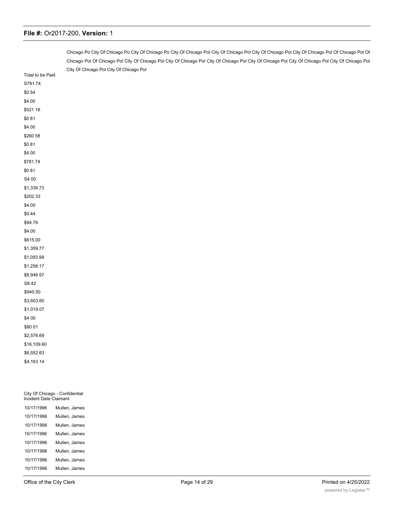|                  | Chicago Po City Of Chicago Po City Of Chicago Po City Of Chicago Pol City Of Chicago Pol City Of Chicago Pol City Of Chicago Pol Of Chicago Pol Of Chicago Pol Of      |  |  |  |  |
|------------------|------------------------------------------------------------------------------------------------------------------------------------------------------------------------|--|--|--|--|
|                  | Chicago Pol Of Chicago Pol City Of Chicago Pol City Of Chicago Pol City Of Chicago Pol City Of Chicago Pol City Of Chicago Pol City Of Chicago Pol City Of Chicago Pol |  |  |  |  |
|                  | City Of Chicago Pol City Of Chicago Pol                                                                                                                                |  |  |  |  |
| Total to be Paid |                                                                                                                                                                        |  |  |  |  |
| S781.74          |                                                                                                                                                                        |  |  |  |  |
| \$0 54           |                                                                                                                                                                        |  |  |  |  |
| \$4.00           |                                                                                                                                                                        |  |  |  |  |
| \$521 16         |                                                                                                                                                                        |  |  |  |  |
| \$081            |                                                                                                                                                                        |  |  |  |  |
| \$4.00           |                                                                                                                                                                        |  |  |  |  |
| \$260 58         |                                                                                                                                                                        |  |  |  |  |
| \$0.81           |                                                                                                                                                                        |  |  |  |  |
| \$4.00           |                                                                                                                                                                        |  |  |  |  |
| \$781.74         |                                                                                                                                                                        |  |  |  |  |
| \$081            |                                                                                                                                                                        |  |  |  |  |
| S4 00            |                                                                                                                                                                        |  |  |  |  |
| \$1,339.73       |                                                                                                                                                                        |  |  |  |  |
| \$202.33         |                                                                                                                                                                        |  |  |  |  |
| \$4.00           |                                                                                                                                                                        |  |  |  |  |
| \$0.44           |                                                                                                                                                                        |  |  |  |  |
| \$94.79          |                                                                                                                                                                        |  |  |  |  |
| \$4.00           |                                                                                                                                                                        |  |  |  |  |
| \$615.00         |                                                                                                                                                                        |  |  |  |  |
| \$1,359.77       |                                                                                                                                                                        |  |  |  |  |
| \$1,093.99       |                                                                                                                                                                        |  |  |  |  |
| \$1,258.17       |                                                                                                                                                                        |  |  |  |  |
| \$8,948 97       |                                                                                                                                                                        |  |  |  |  |
| S8.42            |                                                                                                                                                                        |  |  |  |  |
| \$940.50         |                                                                                                                                                                        |  |  |  |  |
| \$3,603.60       |                                                                                                                                                                        |  |  |  |  |
| \$1,019.07       |                                                                                                                                                                        |  |  |  |  |
| \$4 00           |                                                                                                                                                                        |  |  |  |  |
| \$80 01          |                                                                                                                                                                        |  |  |  |  |
| \$2,576.69       |                                                                                                                                                                        |  |  |  |  |
| \$16,109.60      |                                                                                                                                                                        |  |  |  |  |
| \$6,552 63       |                                                                                                                                                                        |  |  |  |  |
| \$4,163 14       |                                                                                                                                                                        |  |  |  |  |
|                  |                                                                                                                                                                        |  |  |  |  |
|                  |                                                                                                                                                                        |  |  |  |  |

| Incident Date Claimant |               |  |  |  |
|------------------------|---------------|--|--|--|
| 10/17/1996             | Mullen, James |  |  |  |
| 10/17/1996             | Mullen, James |  |  |  |
| 10/17/1996             | Mullen, James |  |  |  |
| 10/17/1996             | Mullen, James |  |  |  |
| 10/17/1996             | Mullen, James |  |  |  |
| 10/17/1996             | Mullen, James |  |  |  |
| 10/17/1996             | Mullen, James |  |  |  |
| 10/17/1996             | Mullen, James |  |  |  |

City Of Chicago - Confidential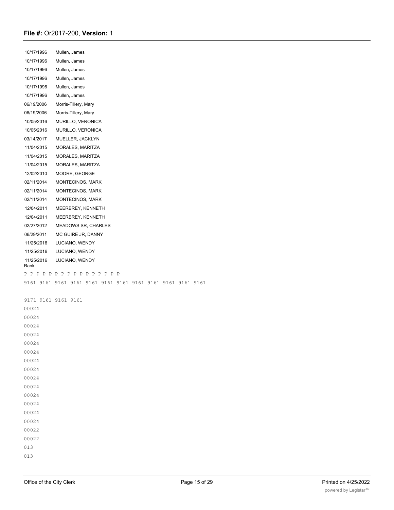| 10/17/1996         | Mullen, James              |
|--------------------|----------------------------|
| 10/17/1996         | Mullen, James              |
| 10/17/1996         | Mullen, James              |
| 10/17/1996         | Mullen, James              |
| 10/17/1996         | Mullen, James              |
| 10/17/1996         | Mullen, James              |
| 06/19/2006         | Morris-Tillery, Mary       |
| 06/19/2006         | Morris-Tillery, Mary       |
| 10/05/2016         | MURILLO, VERONICA          |
| 10/05/2016         | MURILLO, VERONICA          |
| 03/14/2017         | MUELLER, JACKLYN           |
| 11/04/2015         | MORALES, MARITZA           |
| 11/04/2015         | MORALES, MARITZA           |
| 11/04/2015         | MORALES, MARITZA           |
| 12/02/2010         | MOORE, GEORGE              |
| 02/11/2014         | <b>MONTECINOS, MARK</b>    |
| 02/11/2014         | <b>MONTECINOS, MARK</b>    |
| 02/11/2014         | <b>MONTECINOS, MARK</b>    |
| 12/04/2011         | MEERBREY, KENNETH          |
| 12/04/2011         | MEERBREY, KENNETH          |
| 02/27/2012         | <b>MEADOWS SR, CHARLES</b> |
| 06/29/2011         | MC GUIRE JR. DANNY         |
| 11/25/2016         | LUCIANO, WENDY             |
| 11/25/2016         | LUCIANO, WENDY             |
| 11/25/2016<br>Rank | LUCIANO, WENDY             |

P P P P P P P P P P P P P P P P

9161 9161 9161 9161 9161 9161 9161 9161 9161 9161 9161 9161

044 044 044 008 014 014 014 024 024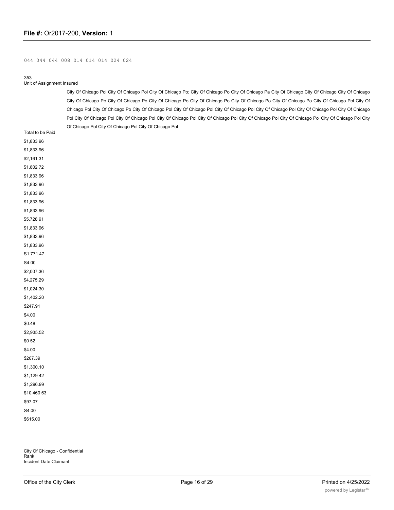#### 044 044 044 008 014 014 014 024 024

#### 353

#### Unit of Assignment Insured

City Of Chicago Pol City Of Chicago Pol City Of Chicago Po; City Of Chicago Po City Of Chicago Pa City Of Chicago City Of Chicago City Of Chicago City Of Chicago Po City Of Chicago Po City Of Chicago Po City Of Chicago Po City Of Chicago Po City Of Chicago Po City Of Chicago Pol City Of Chicago Pol City Of Chicago Po City Of Chicago Pol City Of Chicago Pol City Of Chicago Pol City Of Chicago Pol City Of Chicago Pol City Of Chicago Pol City Of Chicago Pol City Of Chicago Pol City Of Chicago Pol City Of Chicago Pol City Of Chicago Pol City Of Chicago Pol City Of Chicago Pol City Of Chicago Pol City Of Chicago Pol City Of Chicago Pol

| Total to be Paid |
|------------------|
| \$1,83396        |
| \$1,83396        |
| \$2,161 31       |
| \$1,80272        |
| \$1,83396        |
| \$1,83396        |
| \$1,83396        |
| \$1,83396        |
| \$1,83396        |
| \$5,728 91       |
| \$1,833 96       |
| \$1,833.96       |
| \$1,833.96       |
| S1.771.47        |
| S4.00            |
| \$2,007.36       |
| \$4,275.29       |
| \$1,024.30       |
| \$1,402.20       |
| \$247.91         |
| \$4.00           |
| \$0.48           |
| \$2,935.52       |
| \$0 52           |
| \$4.00           |
| \$267.39         |
| \$1,300.10       |
| \$1,12942        |
| \$1,296.99       |
| \$10,460 63      |
| \$97.07          |
| S4.00            |
| \$615.00         |

City Of Chicago - Confidential Rank Incident Date Claimant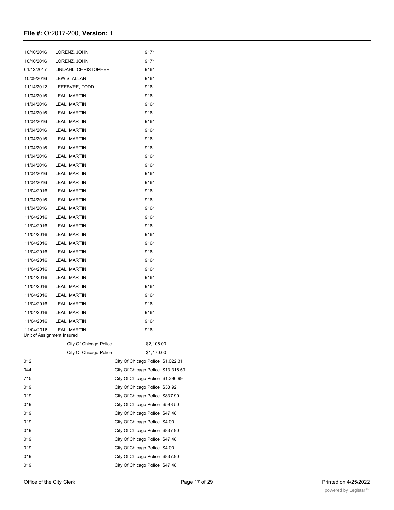| 10/10/2016                               | LORENZ, JOHN           | 9171                               |          |
|------------------------------------------|------------------------|------------------------------------|----------|
| 10/10/2016                               | LORENZ. JOHN           | 9171                               |          |
| 01/12/2017                               | LINDAHL, CHRISTOPHER   | 9161                               |          |
| 10/09/2016                               | LEWIS, ALLAN           | 9161                               |          |
| 11/14/2012                               | LEFEBVRE, TODD         | 9161                               |          |
| 11/04/2016                               | LEAL, MARTIN           | 9161                               |          |
| 11/04/2016                               | LEAL, MARTIN           | 9161                               |          |
| 11/04/2016                               | LEAL, MARTIN           | 9161                               |          |
| 11/04/2016                               | LEAL, MARTIN           | 9161                               |          |
| 11/04/2016                               | LEAL, MARTIN           | 9161                               |          |
| 11/04/2016                               | LEAL, MARTIN           | 9161                               |          |
| 11/04/2016                               | LEAL, MARTIN           | 9161                               |          |
| 11/04/2016                               | LEAL, MARTIN           | 9161                               |          |
| 11/04/2016                               | LEAL, MARTIN           | 9161                               |          |
| 11/04/2016                               | LEAL, MARTIN           | 9161                               |          |
| 11/04/2016                               | LEAL, MARTIN           | 9161                               |          |
| 11/04/2016                               | LEAL, MARTIN           | 9161                               |          |
| 11/04/2016                               | LEAL, MARTIN           | 9161                               |          |
| 11/04/2016                               | LEAL, MARTIN           | 9161                               |          |
| 11/04/2016                               | LEAL, MARTIN           | 9161                               |          |
| 11/04/2016                               | LEAL, MARTIN           | 9161                               |          |
| 11/04/2016                               | LEAL, MARTIN           | 9161                               |          |
| 11/04/2016                               | LEAL, MARTIN           | 9161                               |          |
| 11/04/2016                               | LEAL, MARTIN           | 9161                               |          |
| 11/04/2016                               | LEAL, MARTIN           | 9161                               |          |
| 11/04/2016                               | LEAL, MARTIN           | 9161                               |          |
| 11/04/2016                               | LEAL, MARTIN           | 9161                               |          |
| 11/04/2016                               | LEAL, MARTIN           | 9161                               |          |
| 11/04/2016                               | LEAL, MARTIN           | 9161                               |          |
| 11/04/2016                               | LEAL, MARTIN           | 9161                               |          |
| 11/04/2016                               | LEAL, MARTIN           | 9161                               |          |
| 11/04/2016                               | LEAL, MARTIN           | 9161                               |          |
| 11/04/2016<br>Unit of Assignment Insured | LEAL, MARTIN           | 9161                               |          |
|                                          | City Of Chicago Police | \$2,106.00                         |          |
|                                          | City Of Chicago Police | \$1,170.00                         |          |
| 012                                      |                        | City Of Chicago Police \$1,022.31  |          |
| 044                                      |                        | City Of Chicago Police \$13,316.53 |          |
| 715                                      |                        | City Of Chicago Police \$1,296 99  |          |
| 019                                      |                        | City Of Chicago Police \$33 92     |          |
| 019                                      |                        | City Of Chicago Police             | \$837 90 |
| 019                                      |                        | City Of Chicago Police \$598 50    |          |
| 019                                      |                        | City Of Chicago Police \$47 48     |          |
| 019                                      |                        | City Of Chicago Police             | \$4.00   |
| 019                                      |                        | City Of Chicago Police             | \$837 90 |
| 019                                      |                        | City Of Chicago Police \$47 48     |          |
| 019                                      |                        | City Of Chicago Police \$4.00      |          |
| 019                                      |                        | City Of Chicago Police             | \$837.90 |
| 019                                      |                        | City Of Chicago Police \$47 48     |          |

019 City Of Chicago Police \$4 000 City Of Chicago Police \$4 000 City Of Chicago Police \$4 000 City Of Chicago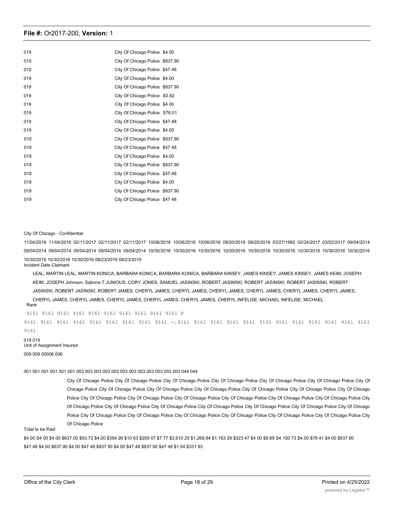| 019 | City Of Chicago Police \$4 00   |  |
|-----|---------------------------------|--|
| 019 | City Of Chicago Police \$837.90 |  |
| 019 | City Of Chicago Police \$47 48  |  |
| 019 | City Of Chicago Police \$4.00   |  |
| 019 | City Of Chicago Police \$837 90 |  |
| 019 | City Of Chicago Police S0.82    |  |
| 019 | City Of Chicago Police \$4 00   |  |
| 019 | City Of Chicago Police S76.01   |  |
| 019 | City Of Chicago Police \$47.48  |  |
| 019 | City Of Chicago Police \$4.00   |  |
| 019 | City Of Chicago Police \$837.90 |  |
| 019 | City Of Chicago Police \$47 48  |  |
| 019 | City Of Chicago Police \$4.00   |  |
| 019 | City Of Chicago Police \$837.90 |  |
| 019 | City Of Chicago Police \$47.48  |  |
| 019 | City Of Chicago Police \$4.00   |  |
| 019 | City Of Chicago Police \$837.90 |  |
| 019 | City Of Chicago Police \$47 48  |  |

#### City Of Chicago - Confidential

11/04/2016 11/04/2016 02/11/2017 02/11/2017 02/11/2017 10/06/2016 10/06/2016 10/06/2016 09/20/2016 09/20/2016 03/27/1992 02/24/2017 03/02/2017 09/04/2014 09/04/2014 09/04/2014 09/04/2014 09/04/2014 09/04/2014 10/30/2016 10/30/2016 10/30/2016 10/30/2016 10/30/2016 10/30/2016 10/30/2016 10/30/2016 10/30/2016 10/30/2016 10/30/2016 10/30/2016 08/23/2015 08/23/2015 Incident Date Claimant

LEAL, MARTIN LEAL, MARTIN KONICA, BARBARA KONICA, BARBARA KONICA, BARBARA KINSEY, JAMES KINSEY, JAMES KINSEY, JAMES KEIM, JOSEPH KEIM, JOSEPH Johnson, Sabnna T JUNIOUS, CORY JONES, SAMUEL JASINSKI, ROBERT JASINSKI, ROBERT JASINSKI, ROBERT JASINSKI, ROBERT JASINSKI, ROBERT JASINSKI, ROBERT JAMES, CHERYL JAMES, CHERYL JAMES, CHERYL JAMES, CHERYL JAMES, CHERYL JAMES, CHERYL JAMES, CHERYL JAMES, CHERYL JAMES, CHERYL JAMES, CHERYL JAMES, CHERYL JAMES, CHERYL INFELISE, MICHAEL INFELISE, MICHAEL Rank

9161 9161 9161 9161 9161 9161 9161 9161 9161 9161 P 9161 9161 9161 9161 9161 9161 9161 9161 9161 -.9161 9161 9161 9161 9161 9161 9161 9161 9161 9161 9161 9161 9161 019 019 Unit of Assignment Insured

009 009 00006 006

001 001 001 001 001 001 003 003 003 003 003 003 003 003 003 003 003 003 044 044

City Of Chicago Police City Of Chicago Police City Of Chicago Police City Of Chicago Police City Of Chicago Police City Of Chicago Police City Of Chicago Police City Of Chicago Police City Of Chicago Police City Of Chicago Police City Of Chicago Police City Of Chicago Police City Of Chicago Police City Of Chicago Police City Of Chicago Police City Of Chicago Police City Of Chicago Police City Of Chicago Police City Of Chicago Police City Of Chicago Police City Of Chicago Police City Of Chicago Police City Of Chicago Police City Of Chicago Police City Of Chicago Police City Of Chicago Police City Of Chicago Police City Of Chicago Police City Of Chicago Police City Of Chicago Police City Of Chicago Police City Of Chicago Police City Of Chicago Police

#### Total to be Paid

\$4 00 S4 00 \$4.00 \$637.00 \$93.72 \$4.00 \$354 26 \$10 63 \$259 07 \$7 77 \$2,610 25 \$1,269.84 \$1,163 29 \$523 47 \$4 00 \$9.89 S4.150 73 \$4.00 \$78 41 \$4 00 \$837.90 \$47.48 \$4.00 \$837.90 \$4.00 \$47 48 \$837 90 \$4.00 \$47.48 \$837.90 \$47 48 \$1.04 \$331 93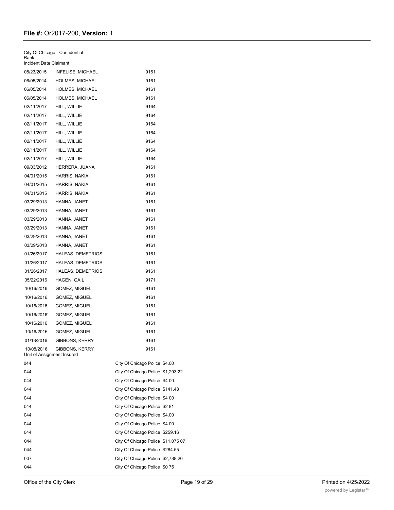| City Of Chicago - Confidential<br>Rank   |                          |                                    |  |
|------------------------------------------|--------------------------|------------------------------------|--|
| Incident Date Claimant                   |                          |                                    |  |
| 08/23/2015                               | <b>INFELISE, MICHAEL</b> | 9161                               |  |
| 06/05/2014                               | <b>HOLMES, MICHAEL</b>   | 9161                               |  |
| 06/05/2014                               | <b>HOLMES, MICHAEL</b>   | 9161                               |  |
| 06/05/2014                               | HOLMES, MICHAEL          | 9161                               |  |
| 02/11/2017                               | HILL, WILLIE             | 9164                               |  |
| 02/11/2017                               | HILL, WILLIE             | 9164                               |  |
| 02/11/2017                               | HILL, WILLIE             | 9164                               |  |
| 02/11/2017                               | HILL, WILLIE             | 9164                               |  |
| 02/11/2017                               | HILL, WILLIE             | 9164                               |  |
| 02/11/2017                               | HILL, WILLIE             | 9164                               |  |
| 02/11/2017                               | HILL, WILLIE             | 9164                               |  |
| 09/03/2012                               | HERRERA, JUANA           | 9161                               |  |
| 04/01/2015                               | HARRIS, NAKIA            | 9161                               |  |
| 04/01/2015                               | HARRIS, NAKIA            | 9161                               |  |
| 04/01/2015                               | HARRIS, NAKIA            | 9161                               |  |
| 03/29/2013                               | HANNA, JANET             | 9161                               |  |
| 03/29/2013                               | HANNA, JANET             | 9161                               |  |
| 03/29/2013                               | HANNA, JANET             | 9161                               |  |
| 03/29/2013                               | HANNA, JANET             | 9161                               |  |
| 03/29/2013                               | HANNA, JANET             | 9161                               |  |
| 03/29/2013                               | HANNA, JANET             | 9161                               |  |
| 01/26/2017                               | <b>HALEAS, DEMETRIOS</b> | 9161                               |  |
| 01/26/2017                               | <b>HALEAS, DEMETRIOS</b> | 9161                               |  |
| 01/26/2017                               | <b>HALEAS, DEMETRIOS</b> | 9161                               |  |
| 05/22/2016                               | HAGEN, GAIL              | 9171                               |  |
| 10/16/2016                               | GOMEZ, MIGUEL            | 9161                               |  |
| 10/16/2016                               | GOMEZ, MIGUEL            | 9161                               |  |
| 10/16/2016                               | GOMEZ, MIGUEL            | 9161                               |  |
| 10/16/2016'                              | GOMEZ, MIGUEL            | 9161                               |  |
| 10/16/2016                               | GOMEZ, MIGUEL            | 9161                               |  |
| 10/16/2016                               | GOMEZ, MIGUEL            | 9161                               |  |
| 01/13/2016                               | GIBBONS, KERRY           | 9161                               |  |
| 10/08/2016<br>Unit of Assignment Insured | GIBBONS, KERRY           | 9161                               |  |
| 044                                      |                          | City Of Chicago Police \$4.00      |  |
| 044                                      |                          | City Of Chicago Police \$1,293 22  |  |
| 044                                      |                          | City Of Chicago Police \$4 00      |  |
| 044                                      |                          | City Of Chicago Police \$141.48    |  |
| 044                                      |                          | City Of Chicago Police \$4 00      |  |
| 044                                      |                          | City Of Chicago Police \$2 81      |  |
| 044                                      |                          | City Of Chicago Police \$4.00      |  |
| 044                                      |                          | City Of Chicago Police \$4.00      |  |
| 044                                      |                          | City Of Chicago Police \$259.16    |  |
| 044                                      |                          | City Of Chicago Police \$11.075 07 |  |
| 044                                      |                          | City Of Chicago Police \$284.55    |  |
| 007                                      |                          | City Of Chicago Police \$2,788.20  |  |
| 044                                      |                          | City Of Chicago Police \$075       |  |
|                                          |                          |                                    |  |

 $\overline{\phantom{a}}$  . The city of  $C$  chicago Police  $\overline{\phantom{a}}$  ,  $\overline{\phantom{a}}$  ,  $\overline{\phantom{a}}$  ,  $\overline{\phantom{a}}$  ,  $\overline{\phantom{a}}$  ,  $\overline{\phantom{a}}$  ,  $\overline{\phantom{a}}$  ,  $\overline{\phantom{a}}$  ,  $\overline{\phantom{a}}$  ,  $\overline{\phantom{a}}$  ,  $\overline{\phantom{a}}$  ,  $\overline{\phantom{a}}$  ,  $\overline{\phantom{$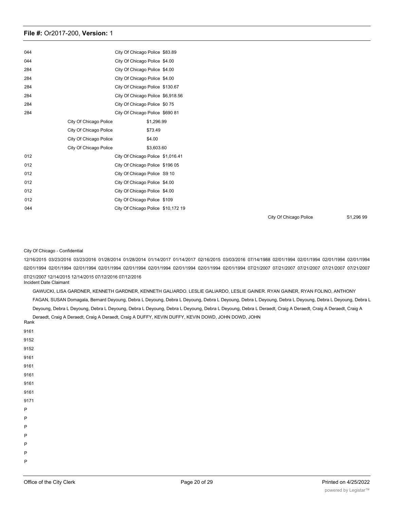| 044 |                        | City Of Chicago Police \$83.89     |  |
|-----|------------------------|------------------------------------|--|
| 044 |                        | City Of Chicago Police \$4.00      |  |
| 284 |                        | City Of Chicago Police \$4.00      |  |
| 284 |                        | City Of Chicago Police \$4.00      |  |
| 284 |                        | City Of Chicago Police \$130.67    |  |
| 284 |                        | City Of Chicago Police \$6,918.56  |  |
| 284 |                        | City Of Chicago Police \$075       |  |
| 284 |                        | City Of Chicago Police \$690 81    |  |
|     | City Of Chicago Police | \$1,296.99                         |  |
|     | City Of Chicago Police | \$73.49                            |  |
|     | City Of Chicago Police | \$4.00                             |  |
|     | City Of Chicago Police | \$3,603.60                         |  |
| 012 |                        | City Of Chicago Police \$1,016.41  |  |
| 012 |                        | City Of Chicago Police \$196 05    |  |
| 012 |                        | City Of Chicago Police S9 10       |  |
| 012 |                        | City Of Chicago Police \$4.00      |  |
| 012 |                        | City Of Chicago Police \$4.00      |  |
| 012 |                        | City Of Chicago Police \$109       |  |
| 044 |                        | City Of Chicago Police \$10,172 19 |  |
|     |                        |                                    |  |

City Of Chicago Police S1,296 99

#### City Of Chicago - Confidential

12/16/2015 03/23/2016 03/23/2016 01/28/2014 01/28/2014 01/14/2017 01/14/2017 02/16/2015 03/03/2016 07/14/1988 02/01/1994 02/01/1994 02/01/1994 02/01/1994 02/01/1994 02/01/1994 02/01/1994 02/01/1994 02/01/1994 02/01/1994 02/01/1994 02/01/1994 02/01/1994 07/21/2007 07/21/2007 07/21/2007 07/21/2007 07/21/2007 07/21/2007 12/14/2015 12/14/2015 07/12/2016 07/12/2016 Incident Date Claimant

GAWUCKI, LISA GARDNER, KENNETH GARDNER, KENNETH GALIARDO. LESLIE GALIARDO, LESLIE GAINER. RYAN GAINER, RYAN FOLINO, ANTHONY FAGAN, SUSAN Domagala, Bernard Deyoung, Debra L Deyoung, Debra L Deyoung, Debra L Deyoung, Debra L Deyoung, Debra L Deyoung, Debra L Deyoung, Debra L Deyoung, Debra L Deyoung, Debra L Deyoung, Debra L Deyoung, Debra L Deyoung, Debra L Deyoung, Debra L Deraedt, Craig A Deraedt, Craig A Deraedt, Craig A Deraedt, Craig A Deraedt, Craig A Deraedt, Craig A DUFFY, KEVIN DUFFY, KEVIN DOWD, JOHN DOWD, JOHN

| Rank        |  |  |  |
|-------------|--|--|--|
| 9161        |  |  |  |
| 9152        |  |  |  |
| 9152        |  |  |  |
| 9161        |  |  |  |
| 9161        |  |  |  |
| 9161        |  |  |  |
| 9161        |  |  |  |
| 9161        |  |  |  |
| 9171        |  |  |  |
| $\mathsf P$ |  |  |  |
| $\sf P$     |  |  |  |
| $\sf P$     |  |  |  |
| $\sf P$     |  |  |  |
| $\sf P$     |  |  |  |
| $\sf P$     |  |  |  |
| $\sf P$     |  |  |  |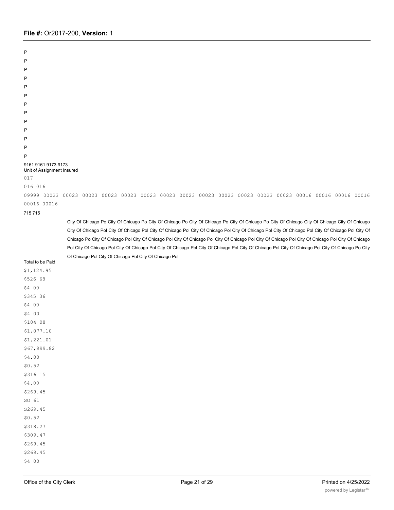P P P P P P P P P P P P P 9161 9161 9173 9173 Unit of Assignment Insured 017 016 016 09999 00023 00023 00023 00023 00023 00023 00023 00023 00023 00023 00023 00023 00023 00016 00016 00016 00016 00016 00016 715 715 City Of Chicago Po City Of Chicago Po City Of Chicago Po City Of Chicago Po City Of Chicago Po City Of Chicago City Of Chicago City Of Chicago City Of Chicago Pol City Of Chicago Pol City Of Chicago Pol City Of Chicago Pol City Of Chicago Pol City Of Chicago Pol City Of Chicago Pol City Of Chicago Po City Of Chicago Pol City Of Chicago Pol City Of Chicago Pol City Of Chicago Pol City Of Chicago Pol City Of Chicago Pol City Of Chicago Pol City Of Chicago Pol City Of Chicago Pol City Of Chicago Pol City Of Chicago Pol City Of Chicago Pol City Of Chicago Pol City Of Chicago Pol City Of Chicago Pol City Of Chicago Pol City Of Chicago Pol Total to be Paid \$1,124.95 \$526 68 \$4 00 \$345 36 \$4 00 \$4 00 \$184 08 \$1,077.10 \$1,221.01 \$67,999.82 \$4.00 \$0.52 \$316 15 \$4.00 \$269.45 SO 61 S269.45 \$0.52 \$318.27 \$309.47 \$269.45 \$269.45 \$4 00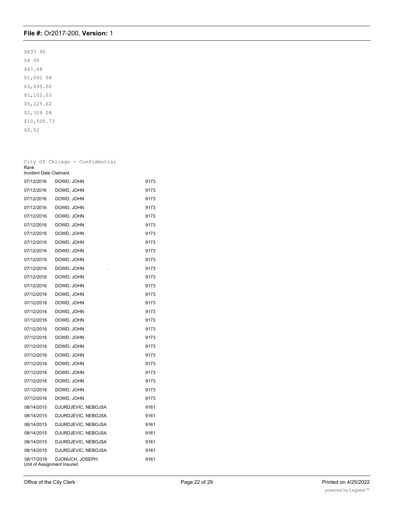\$837 90 \$4 00 \$47.48 \$1,091 58 \$3,095.00 \$1,102.03 \$5,225.62 \$1,309 08 \$10,500.73 \$0.52

City Of Chicago - Confidential Rank Incident Date Claimant 07/12/2016 DOWD, JOHN 9173 07/12/2016 DOWD, JOHN 9173 07/12/2016 DOWD, JOHN 9173 07/12/2016 DOWD, JOHN 9173 07/12/2016 DOWD, JOHN 9173 07/12/2016 DOWD, JOHN 9173 07/12/2016 DOWD, JOHN 9173 07/12/2016 DOWD, JOHN 9173 07/12/2016 DOWD, JOHN 9173 07/12/2016 DOWD, JOHN 9173 07/12/2016 DOWD, JOHN . 9173 07/12/2016 DOWD, JOHN 9173 07/12/2016 DOWD, JOHN 9173 07/12/2016 DOWD, JOHN 9173 07/12/2016 DOWD, JOHN 9173 07/12/2016 DOWD, JOHN 9173 07/12/2016 DOWD, JOHN 9173 07/12/2016 DOWD, JOHN 9173 07/12/2016 DOWD, JOHN 9173 07/12/2016 DOWD, JOHN 9173 07/12/2016 DOWD, JOHN 9173 07/12/2016 DOWD, JOHN 9173 07/12/2016 DOWD, JOHN 9173 07/12/2016 DOWD, JOHN 9173 07/12/2016 DOWD, JOHN 9173 07/12/2016 DOWD, JOHN 9173 08/14/2015 DJURDJEVIC, NEBOJSA 9161 08/14/2015 DJURDJEVIC, NEBOJSA 9161 08/14/2015 DJURDJEVIC, NEBOJSA 9161 08/14/2015 DJURDJEVIC, NEBOJSA 9161 08/14/2015 DJURDJEVIC, NEBOJSA 9161 08/14/2015 DJURDJEVIC, NEBOJSA 9161 08/17/2016 DJONUCH, JOSEPH 9161 Unit of Assignment Insured 715 City Of Chicago Police \$4.00 Office of the City Clerk **Page 22 of 29** Printed on 4/25/2022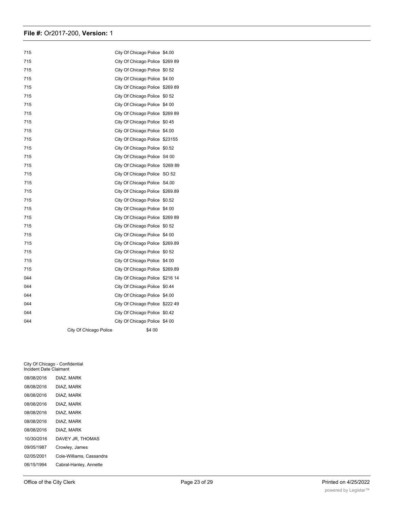| 715 |                        | City Of Chicago Police \$4.00   |  |
|-----|------------------------|---------------------------------|--|
| 715 |                        | City Of Chicago Police \$269 89 |  |
| 715 |                        | City Of Chicago Police \$0 52   |  |
| 715 |                        | City Of Chicago Police \$4 00   |  |
| 715 |                        | City Of Chicago Police \$269 89 |  |
| 715 |                        | City Of Chicago Police \$0 52   |  |
| 715 |                        | City Of Chicago Police \$4 00   |  |
| 715 |                        | City Of Chicago Police \$269 89 |  |
| 715 |                        | City Of Chicago Police \$045    |  |
| 715 |                        | City Of Chicago Police \$4.00   |  |
| 715 |                        | City Of Chicago Police \$23155  |  |
| 715 |                        | City Of Chicago Police \$0.52   |  |
| 715 |                        | City Of Chicago Police S4 00    |  |
| 715 |                        | City Of Chicago Police S269 89  |  |
| 715 |                        | City Of Chicago Police SO 52    |  |
| 715 |                        | City Of Chicago Police S4.00    |  |
| 715 |                        | City Of Chicago Police \$269.89 |  |
| 715 |                        | City Of Chicago Police \$0.52   |  |
| 715 |                        | City Of Chicago Police \$4 00   |  |
| 715 |                        | City Of Chicago Police \$269 89 |  |
| 715 |                        | City Of Chicago Police \$0 52   |  |
| 715 |                        | City Of Chicago Police \$4 00   |  |
| 715 |                        | City Of Chicago Police \$269.89 |  |
| 715 |                        | City Of Chicago Police \$0 52   |  |
| 715 |                        | City Of Chicago Police \$4 00   |  |
| 715 |                        | City Of Chicago Police \$269.89 |  |
| 044 |                        | City Of Chicago Police \$216 14 |  |
| 044 |                        | City Of Chicago Police \$0.44   |  |
| 044 |                        | City Of Chicago Police \$4.00   |  |
| 044 |                        | City Of Chicago Police \$222 49 |  |
| 044 |                        | City Of Chicago Police \$0.42   |  |
| 044 |                        | City Of Chicago Police \$4 00   |  |
|     | City Of Chicago Police | \$4 00                          |  |

City Of Chicago - Confidential Incident Date Claimant 08/08/2016 DIAZ. MARK 08/08/2016 DIAZ, MARK 08/08/2016 DIAZ, MARK 08/08/2016 DIAZ, MARK 08/08/2016 DIAZ, MARK 08/08/2016 DIAZ, MARK 08/08/2016 DIAZ, MARK 10/30/2016 DAVEY JR, THOMAS 09/05/1987 Crowley, James 02/05/2001 Cole-Williams, Cassandra 06/15/1994 Cabral-Hanley, Annette

01/25/2017 CUSIMANO, DANIELLE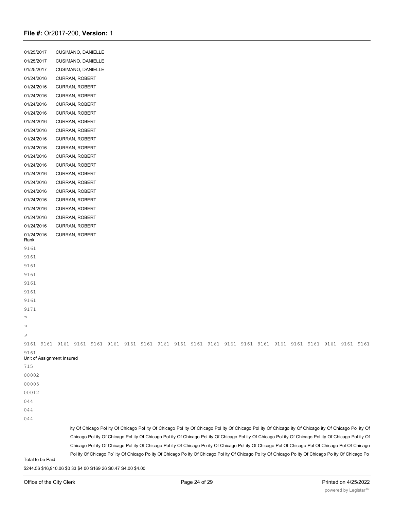| 01/25/2017                         | CUSIMANO, DANIELLE                                                                                                                                                                                                                                                                                                                                                                                                                                                                                                    |
|------------------------------------|-----------------------------------------------------------------------------------------------------------------------------------------------------------------------------------------------------------------------------------------------------------------------------------------------------------------------------------------------------------------------------------------------------------------------------------------------------------------------------------------------------------------------|
| 01/25/2017                         | CUSIMANO. DANIELLE                                                                                                                                                                                                                                                                                                                                                                                                                                                                                                    |
| 01/25/2017                         | CUSIMANO, DANIELLE                                                                                                                                                                                                                                                                                                                                                                                                                                                                                                    |
| 01/24/2016                         | <b>CURRAN, ROBERT</b>                                                                                                                                                                                                                                                                                                                                                                                                                                                                                                 |
| 01/24/2016                         | <b>CURRAN, ROBERT</b>                                                                                                                                                                                                                                                                                                                                                                                                                                                                                                 |
| 01/24/2016                         | CURRAN, ROBERT                                                                                                                                                                                                                                                                                                                                                                                                                                                                                                        |
| 01/24/2016                         | CURRAN, ROBERT                                                                                                                                                                                                                                                                                                                                                                                                                                                                                                        |
| 01/24/2016                         | CURRAN, ROBERT                                                                                                                                                                                                                                                                                                                                                                                                                                                                                                        |
| 01/24/2016                         | <b>CURRAN, ROBERT</b>                                                                                                                                                                                                                                                                                                                                                                                                                                                                                                 |
| 01/24/2016                         | CURRAN, ROBERT                                                                                                                                                                                                                                                                                                                                                                                                                                                                                                        |
| 01/24/2016                         | CURRAN, ROBERT                                                                                                                                                                                                                                                                                                                                                                                                                                                                                                        |
| 01/24/2016                         | CURRAN, ROBERT                                                                                                                                                                                                                                                                                                                                                                                                                                                                                                        |
| 01/24/2016                         | CURRAN, ROBERT                                                                                                                                                                                                                                                                                                                                                                                                                                                                                                        |
| 01/24/2016                         | CURRAN, ROBERT                                                                                                                                                                                                                                                                                                                                                                                                                                                                                                        |
| 01/24/2016                         | <b>CURRAN, ROBERT</b>                                                                                                                                                                                                                                                                                                                                                                                                                                                                                                 |
| 01/24/2016                         | CURRAN, ROBERT                                                                                                                                                                                                                                                                                                                                                                                                                                                                                                        |
| 01/24/2016                         | CURRAN, ROBERT                                                                                                                                                                                                                                                                                                                                                                                                                                                                                                        |
| 01/24/2016                         | CURRAN, ROBERT                                                                                                                                                                                                                                                                                                                                                                                                                                                                                                        |
| 01/24/2016                         | <b>CURRAN, ROBERT</b>                                                                                                                                                                                                                                                                                                                                                                                                                                                                                                 |
| 01/24/2016                         | CURRAN, ROBERT                                                                                                                                                                                                                                                                                                                                                                                                                                                                                                        |
| 01/24/2016                         | <b>CURRAN, ROBERT</b>                                                                                                                                                                                                                                                                                                                                                                                                                                                                                                 |
| 01/24/2016<br>Rank                 | <b>CURRAN, ROBERT</b>                                                                                                                                                                                                                                                                                                                                                                                                                                                                                                 |
| 9161                               |                                                                                                                                                                                                                                                                                                                                                                                                                                                                                                                       |
| 9161                               |                                                                                                                                                                                                                                                                                                                                                                                                                                                                                                                       |
| 9161                               |                                                                                                                                                                                                                                                                                                                                                                                                                                                                                                                       |
| 9161                               |                                                                                                                                                                                                                                                                                                                                                                                                                                                                                                                       |
| 9161                               |                                                                                                                                                                                                                                                                                                                                                                                                                                                                                                                       |
| 9161                               |                                                                                                                                                                                                                                                                                                                                                                                                                                                                                                                       |
| 9161                               |                                                                                                                                                                                                                                                                                                                                                                                                                                                                                                                       |
| 9171                               |                                                                                                                                                                                                                                                                                                                                                                                                                                                                                                                       |
| Ρ                                  |                                                                                                                                                                                                                                                                                                                                                                                                                                                                                                                       |
| Ρ                                  |                                                                                                                                                                                                                                                                                                                                                                                                                                                                                                                       |
| Ρ                                  |                                                                                                                                                                                                                                                                                                                                                                                                                                                                                                                       |
|                                    |                                                                                                                                                                                                                                                                                                                                                                                                                                                                                                                       |
| 9161<br>Unit of Assignment Insured |                                                                                                                                                                                                                                                                                                                                                                                                                                                                                                                       |
| 715                                |                                                                                                                                                                                                                                                                                                                                                                                                                                                                                                                       |
| 00002                              |                                                                                                                                                                                                                                                                                                                                                                                                                                                                                                                       |
| 00005                              |                                                                                                                                                                                                                                                                                                                                                                                                                                                                                                                       |
| 00012                              |                                                                                                                                                                                                                                                                                                                                                                                                                                                                                                                       |
| 044                                |                                                                                                                                                                                                                                                                                                                                                                                                                                                                                                                       |
| 044                                |                                                                                                                                                                                                                                                                                                                                                                                                                                                                                                                       |
| 044                                |                                                                                                                                                                                                                                                                                                                                                                                                                                                                                                                       |
|                                    | ity Of Chicago Pol ity Of Chicago Pol ity Of Chicago Pol ity Of Chicago Pol ity Of Chicago Pol ity Of Chicago ity Of Chicago ity Of Chicago ity Of Chicago Pol ity Of<br>Chicago Pol ity Of Chicago Pol ity Of Chicago Pol ity Of Chicago Pol ity Of Chicago Pol ity Of Chicago Pol ity Of Chicago Pol ity Of Chicago Pol ity Of Chicago Pol ity<br>Chicago Pol ity Of Chicago Pol ity Of Chicago Pol ity Of Chicago Po ity Of Chicago Pol ity Of Chicago Pol Of Chicago Pol Of Chicago Pol Of Chicago Pol Of Chicago |
|                                    | Pol ity Of Chicago Po <sup>1</sup> ity Of Chicago Po ity Of Chicago Po ity Of Chicago Pol ity Of Chicago Po ity Of Chicago Po ity Of Chicago Po ity Of Chicago Po ity Of Chicago Po                                                                                                                                                                                                                                                                                                                                   |
| Total to be Paid                   |                                                                                                                                                                                                                                                                                                                                                                                                                                                                                                                       |

\$244.56 \$16,910.06 \$0 33 \$4 00 S169 26 S0.47 S4.00 \$4.00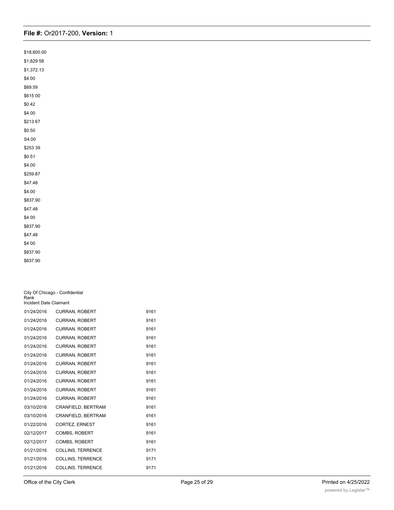| \$18,600.00 |
|-------------|
| \$1,829 58  |
| \$1,372.13  |
| \$4.00      |
| \$89.59     |
| \$615 00    |
| \$0.42      |
| \$4.00      |
| \$21367     |
| \$0.50      |
| S4.00       |
| \$253 39    |
| \$0.51      |
| \$4.00      |
| \$259.87    |
| \$47.48     |
| \$4.00      |
| \$837.90    |
| \$47.48     |
| \$4 00      |
| \$837.90    |
| \$47.48     |
| \$4 00      |
| \$837.90    |
| \$837.90    |

| City Of Chicago - Confidential<br>Rank<br>Incident Date Claimant |                          |      |
|------------------------------------------------------------------|--------------------------|------|
| 01/24/2016                                                       | <b>CURRAN, ROBERT</b>    | 9161 |
| 01/24/2016                                                       | <b>CURRAN, ROBERT</b>    | 9161 |
| 01/24/2016                                                       | <b>CURRAN, ROBERT</b>    | 9161 |
| 01/24/2016                                                       | <b>CURRAN, ROBERT</b>    | 9161 |
| 01/24/2016                                                       | <b>CURRAN, ROBERT</b>    | 9161 |
| 01/24/2016                                                       | <b>CURRAN, ROBERT</b>    | 9161 |
| 01/24/2016                                                       | <b>CURRAN, ROBERT</b>    | 9161 |
| 01/24/2016                                                       | <b>CURRAN, ROBERT</b>    | 9161 |
| 01/24/2016                                                       | <b>CURRAN, ROBERT</b>    | 9161 |
| 01/24/2016                                                       | <b>CURRAN, ROBERT</b>    | 9161 |
| 01/24/2016                                                       | <b>CURRAN, ROBERT</b>    | 9161 |
| 03/10/2016                                                       | CRANFIELD, BERTRAM       | 9161 |
| 03/10/2016                                                       | CRANFIELD, BERTRAM       | 9161 |
| 01/22/2016                                                       | <b>CORTEZ, ERNEST</b>    | 9161 |
| 02/12/2017                                                       | <b>COMBS, ROBERT</b>     | 9161 |
| 02/12/2017                                                       | <b>COMBS, ROBERT</b>     | 9161 |
| 01/21/2016                                                       | <b>COLLINS. TERRENCE</b> | 9171 |
| 01/21/2016                                                       | <b>COLLINS, TERRENCE</b> | 9171 |
| 01/21/2016                                                       | <b>COLLINS. TERRENCE</b> | 9171 |
|                                                                  |                          |      |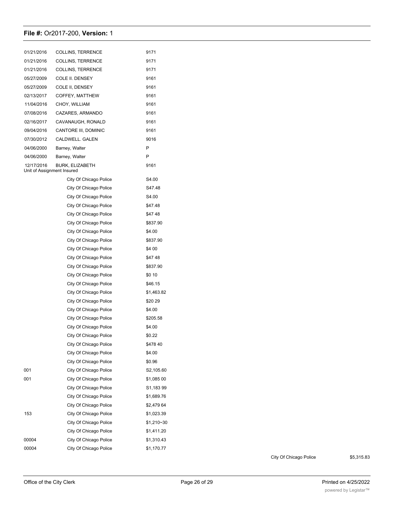| 01/21/2016                               | <b>COLLINS, TERRENCE</b> | 9171       |
|------------------------------------------|--------------------------|------------|
| 01/21/2016                               | <b>COLLINS, TERRENCE</b> | 9171       |
| 01/21/2016                               | COLLINS, TERRENCE        | 9171       |
| 05/27/2009                               | COLE II. DENSEY          | 9161       |
| 05/27/2009                               | COLE II, DENSEY          | 9161       |
| 02/13/2017                               | COFFEY, MATTHEW          | 9161       |
| 11/04/2016                               | CHOY, WILLIAM            | 9161       |
| 07/08/2016                               | CAZARES, ARMANDO         | 9161       |
| 02/16/2017                               | CAVANAUGH, RONALD        | 9161       |
| 09/04/2016                               | CANTORE III, DOMINIC     | 9161       |
| 07/30/2012                               | CALDWELL. GALEN          | 9016       |
| 04/06/2000                               | Barney, Walter           | P          |
| 04/06/2000                               | Barney, Walter           | P          |
| 12/17/2016<br>Unit of Assignment Insured | <b>BURK, ELIZABETH</b>   | 9161       |
|                                          | City Of Chicago Police   | S4.00      |
|                                          | City Of Chicago Police   | S47.48     |
|                                          | City Of Chicago Police   | S4.00      |
|                                          | City Of Chicago Police   | \$47.48    |
|                                          | City Of Chicago Police   | \$4748     |
|                                          | City Of Chicago Police   | \$837.90   |
|                                          | City Of Chicago Police   | \$4.00     |
|                                          | City Of Chicago Police   | \$837.90   |
|                                          | City Of Chicago Police   | \$4 00     |
|                                          | City Of Chicago Police   | \$4748     |
|                                          | City Of Chicago Police   | \$837.90   |
|                                          | City Of Chicago Police   | \$0 10     |
|                                          | City Of Chicago Police   | \$46.15    |
|                                          | City Of Chicago Police   | \$1,463.82 |
|                                          | City Of Chicago Police   | \$2029     |
|                                          | City Of Chicago Police   | \$4.00     |
|                                          | City Of Chicago Police   | \$205.58   |
|                                          | City Of Chicago Police   | \$4.00     |
|                                          | City Of Chicago Police   | \$0.22     |
|                                          | City Of Chicago Police   | \$47840    |
|                                          | City Of Chicago Police   | \$4.00     |
|                                          | City Of Chicago Police   | \$0.96     |
| 001                                      | City Of Chicago Police   | S2,105.60  |
| 001                                      | City Of Chicago Police   | \$1,085 00 |
|                                          | City Of Chicago Police   | S1,18399   |
|                                          | City Of Chicago Police   | \$1,689.76 |
|                                          | City Of Chicago Police   | \$2,479 64 |
| 153                                      | City Of Chicago Police   | \$1,023.39 |
|                                          | City Of Chicago Police   | \$1,210~30 |
|                                          | City Of Chicago Police   | \$1,411.20 |
| 00004                                    | City Of Chicago Police   | \$1,310.43 |
| 00004                                    | City Of Chicago Police   | \$1,170.77 |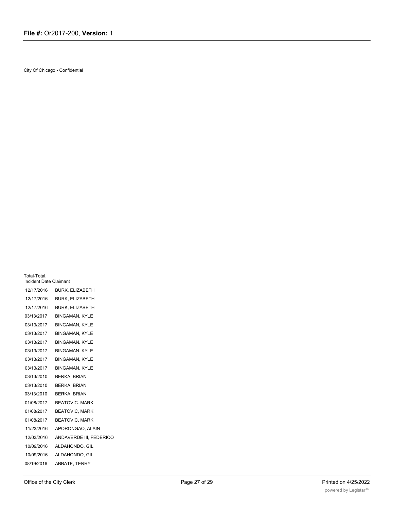City Of Chicago - Confidential

| Incident Date Claimant |                         |  |
|------------------------|-------------------------|--|
| 12/17/2016             | <b>BURK. ELIZABETH</b>  |  |
| 12/17/2016             | <b>BURK, ELIZABETH</b>  |  |
| 12/17/2016             | <b>BURK, ELIZABETH</b>  |  |
| 03/13/2017             | <b>BINGAMAN, KYLE</b>   |  |
| 03/13/2017             | <b>BINGAMAN, KYLE</b>   |  |
| 03/13/2017             | <b>BINGAMAN, KYLE</b>   |  |
| 03/13/2017             | <b>BINGAMAN, KYLE</b>   |  |
| 03/13/2017             | <b>BINGAMAN, KYLE</b>   |  |
| 03/13/2017             | <b>BINGAMAN, KYLE</b>   |  |
| 03/13/2017             | <b>BINGAMAN, KYLE</b>   |  |
| 03/13/2010             | <b>BERKA, BRIAN</b>     |  |
| 03/13/2010             | <b>BERKA, BRIAN</b>     |  |
| 03/13/2010             | <b>BERKA, BRIAN</b>     |  |
| 01/08/2017             | <b>BEATOVIC, MARK</b>   |  |
| 01/08/2017             | <b>BEATOVIC, MARK</b>   |  |
| 01/08/2017             | <b>BEATOVIC, MARK</b>   |  |
| 11/23/2016             | APORONGAO, ALAIN        |  |
| 12/03/2016             | ANDAVERDE III, FEDERICO |  |
| 10/09/2016             | ALDAHONDO, GIL          |  |
| 10/09/2016             | ALDAHONDO, GIL          |  |
| 08/19/2016             | ABBATE, TERRY           |  |
|                        |                         |  |

Total-Total.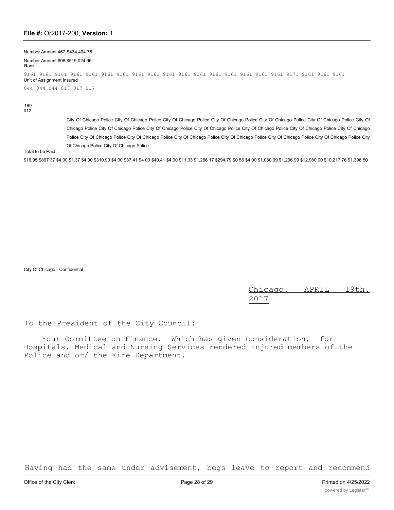Number Amount 467 S434.404.76

Number Amount 608 \$519,024.96 Rank 9161 9161 9161 9161 9161 9161 9161 9161 9161 9161 9161 9161 9161 9161 9161 9161 9161 9171 9161 9161 9161 Unit of Assignment Insured 044 044 044 017 017 017

189 012

City Of Chicago Police City Of Chicago Police City Of Chicago Police City Of Chicago Police City Of Chicago Police City Of Chicago Police City Of Chicago Police City Of Chicago Police City Of Chicago Police City Of Chicago Police City Of Chicago Police City Of Chicago Police City Of Chicago Police City Of Chicago Police City Of Chicago Police City Of Chicago Police City Of Chicago Police City Of Chicago Police City Of Chicago Police City Of Chicago Police City Of Chicago Police

Total to be Paid

\$16.95 \$897 37 \$4 00 \$1.37 \$4 00 \$310.90 \$4.00 \$37 41 \$4 00 \$40.41 \$4 00 \$11.33 \$1,266 17 \$294.79 \$0 58 \$4.00 \$1,080.99 \$1,296.99 \$12,980.00 \$10,217.76 \$1,396 50

City Of Chicago - Confidential

Chicago. APRIL 19th. 2017

To the President of the City Council:

Your Committee on Finance. Which has given consideration, for Hospitals, Medical and Nursing Services rendered injured members of the Police and or/ the Fire Department.

Having had the same under advisement, begs leave to report and recommend